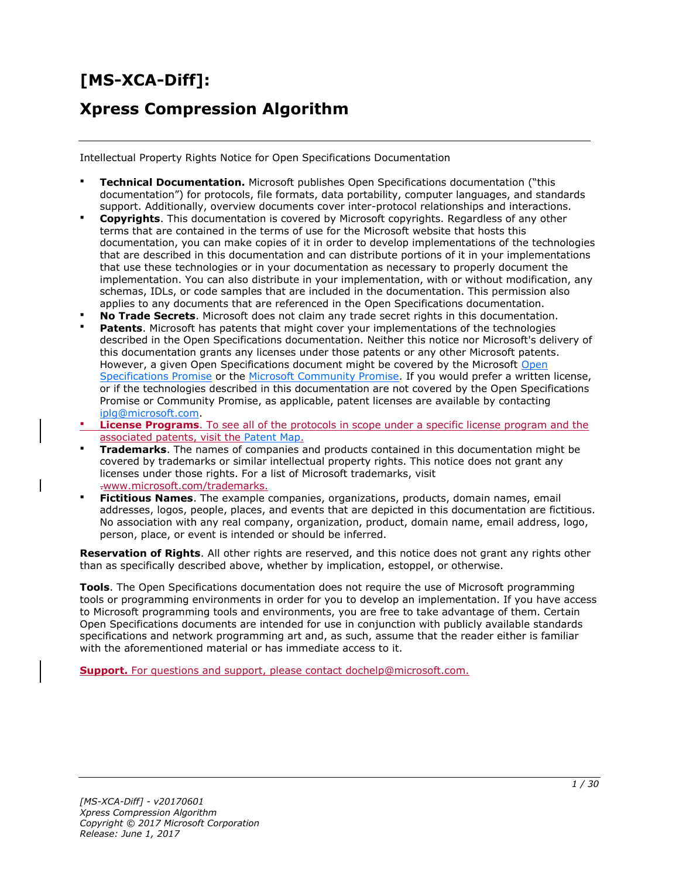# **[MS-XCA-Diff]:**

# **Xpress Compression Algorithm**

Intellectual Property Rights Notice for Open Specifications Documentation

- **Technical Documentation.** Microsoft publishes Open Specifications documentation ("this documentation") for protocols, file formats, data portability, computer languages, and standards support. Additionally, overview documents cover inter-protocol relationships and interactions.
- **Copyrights**. This documentation is covered by Microsoft copyrights. Regardless of any other terms that are contained in the terms of use for the Microsoft website that hosts this documentation, you can make copies of it in order to develop implementations of the technologies that are described in this documentation and can distribute portions of it in your implementations that use these technologies or in your documentation as necessary to properly document the implementation. You can also distribute in your implementation, with or without modification, any schemas, IDLs, or code samples that are included in the documentation. This permission also applies to any documents that are referenced in the Open Specifications documentation.
- **No Trade Secrets**. Microsoft does not claim any trade secret rights in this documentation.
- **Patents**. Microsoft has patents that might cover your implementations of the technologies described in the Open Specifications documentation. Neither this notice nor Microsoft's delivery of this documentation grants any licenses under those patents or any other Microsoft patents. However, a given [Open](http://go.microsoft.com/fwlink/?LinkId=214445) Specifications document might be covered by the Microsoft Open [Specifications Promise](http://go.microsoft.com/fwlink/?LinkId=214445) or the [Microsoft Community Promise.](http://go.microsoft.com/fwlink/?LinkId=214448) If you would prefer a written license, or if the technologies described in this documentation are not covered by the Open Specifications Promise or Community Promise, as applicable, patent licenses are available by contacting [iplg@microsoft.com.](mailto:iplg@microsoft.com)
- **License Programs**. To see all of the protocols in scope under a specific license program and the associated patents, visit the [Patent Map.](https://msdn.microsoft.com/en-us/openspecifications/dn750984)
- **Trademarks**. The names of companies and products contained in this documentation might be covered by trademarks or similar intellectual property rights. This notice does not grant any licenses under those rights. For a list of Microsoft trademarks, visit .www.microsoft.com/trademarks.
- **Fictitious Names**. The example companies, organizations, products, domain names, email addresses, logos, people, places, and events that are depicted in this documentation are fictitious. No association with any real company, organization, product, domain name, email address, logo, person, place, or event is intended or should be inferred.

**Reservation of Rights**. All other rights are reserved, and this notice does not grant any rights other than as specifically described above, whether by implication, estoppel, or otherwise.

**Tools**. The Open Specifications documentation does not require the use of Microsoft programming tools or programming environments in order for you to develop an implementation. If you have access to Microsoft programming tools and environments, you are free to take advantage of them. Certain Open Specifications documents are intended for use in conjunction with publicly available standards specifications and network programming art and, as such, assume that the reader either is familiar with the aforementioned material or has immediate access to it.

**Support.** For questions and support, please contact dochelp@microsoft.com.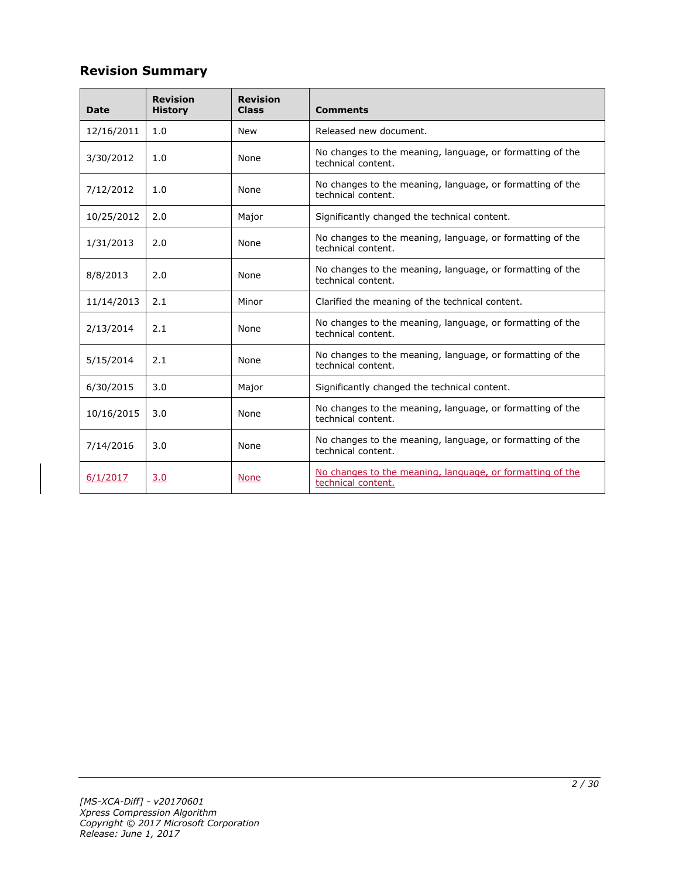# **Revision Summary**

| <b>Date</b> | <b>Revision</b><br><b>History</b> | <b>Revision</b><br><b>Class</b> | <b>Comments</b>                                                                 |
|-------------|-----------------------------------|---------------------------------|---------------------------------------------------------------------------------|
| 12/16/2011  | 1.0                               | <b>New</b>                      | Released new document.                                                          |
| 3/30/2012   | 1.0                               | None                            | No changes to the meaning, language, or formatting of the<br>technical content. |
| 7/12/2012   | 1.0                               | None                            | No changes to the meaning, language, or formatting of the<br>technical content. |
| 10/25/2012  | 2.0                               | Major                           | Significantly changed the technical content.                                    |
| 1/31/2013   | 2.0                               | None                            | No changes to the meaning, language, or formatting of the<br>technical content. |
| 8/8/2013    | 2.0                               | None                            | No changes to the meaning, language, or formatting of the<br>technical content. |
| 11/14/2013  | 2.1                               | Minor                           | Clarified the meaning of the technical content.                                 |
| 2/13/2014   | 2.1                               | None                            | No changes to the meaning, language, or formatting of the<br>technical content. |
| 5/15/2014   | 2.1                               | None                            | No changes to the meaning, language, or formatting of the<br>technical content. |
| 6/30/2015   | 3.0                               | Major                           | Significantly changed the technical content.                                    |
| 10/16/2015  | 3.0                               | None                            | No changes to the meaning, language, or formatting of the<br>technical content. |
| 7/14/2016   | 3.0                               | None                            | No changes to the meaning, language, or formatting of the<br>technical content. |
| 6/1/2017    | 3.0                               | <b>None</b>                     | No changes to the meaning, language, or formatting of the<br>technical content. |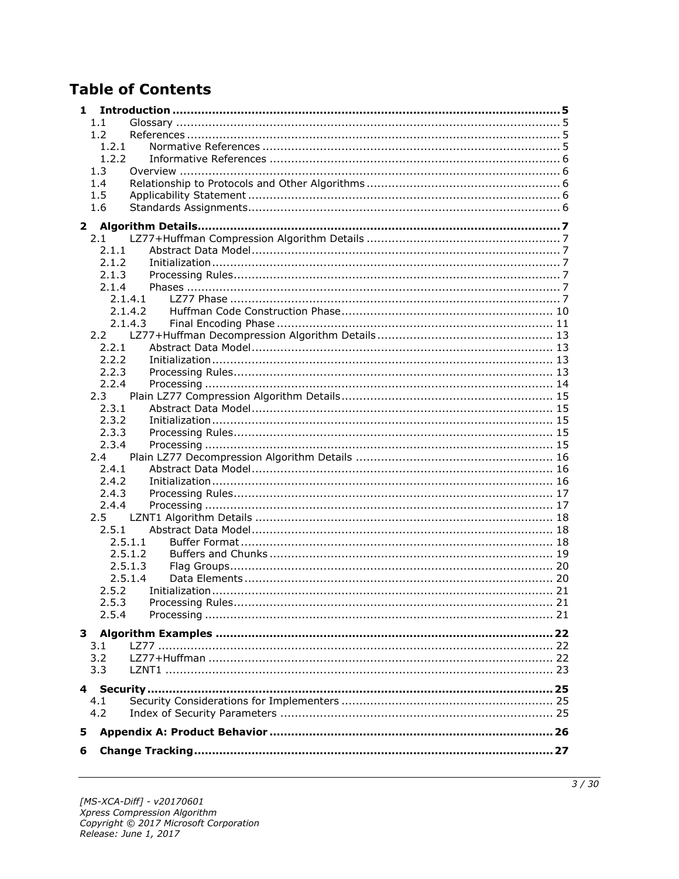# **Table of Contents**

| 1             |  |
|---------------|--|
| 1.1           |  |
| 1.2           |  |
| 1.2.1         |  |
| 1.2.2         |  |
| 1.3           |  |
| 1.4           |  |
| 1.5           |  |
| 1.6           |  |
| $\mathbf{2}$  |  |
| 2.1           |  |
| 2.1.1         |  |
| 2.1.2         |  |
| 2.1.3         |  |
| 2.1.4         |  |
| 2.1.4.1       |  |
| 2.1.4.2       |  |
| 2.1.4.3       |  |
|               |  |
| 2.2.1         |  |
| 2.2.2         |  |
| 2.2.3         |  |
| 2.2.4         |  |
| 2.3           |  |
| 2.3.1         |  |
| 2.3.2         |  |
| 2.3.3         |  |
| 2.3.4         |  |
| 2.4           |  |
| 2.4.1         |  |
| 2.4.2         |  |
| 2.4.3         |  |
| 2.4.4         |  |
| $2.5^{\circ}$ |  |
| 2.5.1         |  |
| 2.5.1.1       |  |
| 2.5.1.2       |  |
| 2.5.1.3       |  |
| 2.5.1.4       |  |
| 2.5.2         |  |
| 2.5.3         |  |
| 2.5.4         |  |
|               |  |
| 3.1           |  |
| 3.2           |  |
| 3.3           |  |
|               |  |
| 4.1           |  |
| 4.2           |  |
|               |  |
| 5             |  |
| 6             |  |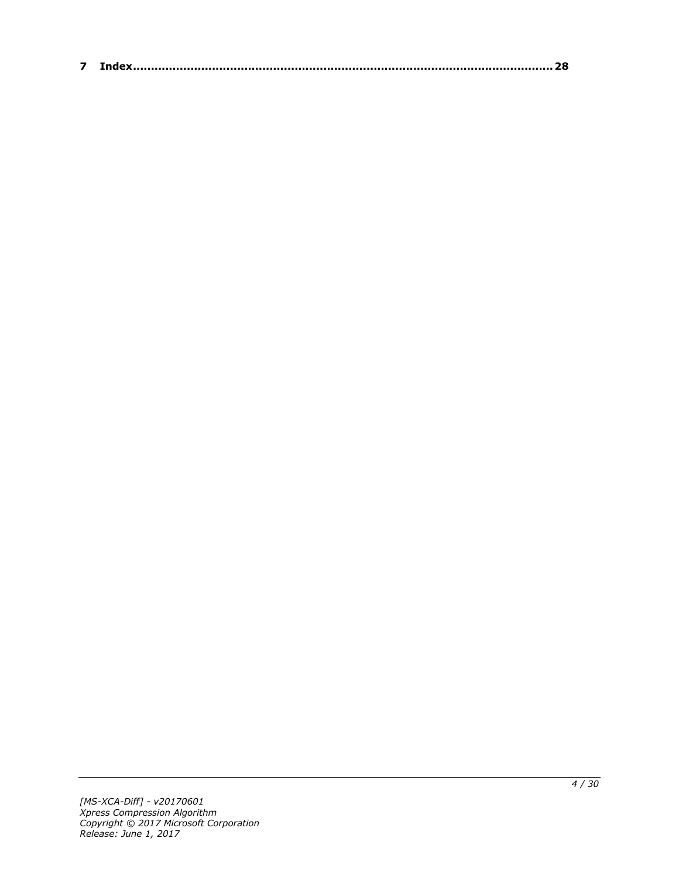| $\sim$ |  |
|--------|--|
|--------|--|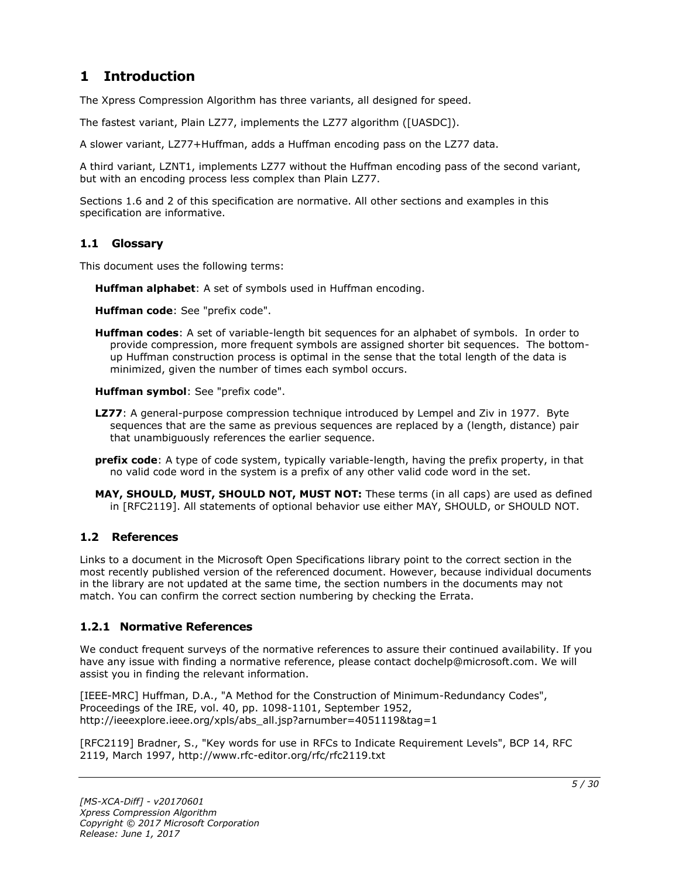# <span id="page-4-0"></span>**1 Introduction**

The Xpress Compression Algorithm has three variants, all designed for speed.

The fastest variant, Plain LZ77, implements the LZ77 algorithm ([UASDC]).

A slower variant, LZ77+Huffman, adds a Huffman encoding pass on the LZ77 data.

A third variant, LZNT1, implements LZ77 without the Huffman encoding pass of the second variant, but with an encoding process less complex than Plain LZ77.

Sections 1.6 and 2 of this specification are normative. All other sections and examples in this specification are informative.

### <span id="page-4-1"></span>**1.1 Glossary**

This document uses the following terms:

**Huffman alphabet**: A set of symbols used in Huffman encoding.

**Huffman code**: See "prefix code".

**Huffman codes**: A set of variable-length bit sequences for an alphabet of symbols. In order to provide compression, more frequent symbols are assigned shorter bit sequences. The bottomup Huffman construction process is optimal in the sense that the total length of the data is minimized, given the number of times each symbol occurs.

**Huffman symbol**: See "prefix code".

- **LZ77**: A general-purpose compression technique introduced by Lempel and Ziv in 1977. Byte sequences that are the same as previous sequences are replaced by a (length, distance) pair that unambiguously references the earlier sequence.
- **prefix code**: A type of code system, typically variable-length, having the prefix property, in that no valid code word in the system is a prefix of any other valid code word in the set.
- **MAY, SHOULD, MUST, SHOULD NOT, MUST NOT:** These terms (in all caps) are used as defined in [RFC2119]. All statements of optional behavior use either MAY, SHOULD, or SHOULD NOT.

#### <span id="page-4-2"></span>**1.2 References**

Links to a document in the Microsoft Open Specifications library point to the correct section in the most recently published version of the referenced document. However, because individual documents in the library are not updated at the same time, the section numbers in the documents may not match. You can confirm the correct section numbering by checking the Errata.

#### <span id="page-4-3"></span>**1.2.1 Normative References**

We conduct frequent surveys of the normative references to assure their continued availability. If you have any issue with finding a normative reference, please contact dochelp@microsoft.com. We will assist you in finding the relevant information.

[IEEE-MRC] Huffman, D.A., "A Method for the Construction of Minimum-Redundancy Codes", Proceedings of the IRE, vol. 40, pp. 1098-1101, September 1952, http://ieeexplore.ieee.org/xpls/abs\_all.jsp?arnumber=4051119&tag=1

[RFC2119] Bradner, S., "Key words for use in RFCs to Indicate Requirement Levels", BCP 14, RFC 2119, March 1997, http://www.rfc-editor.org/rfc/rfc2119.txt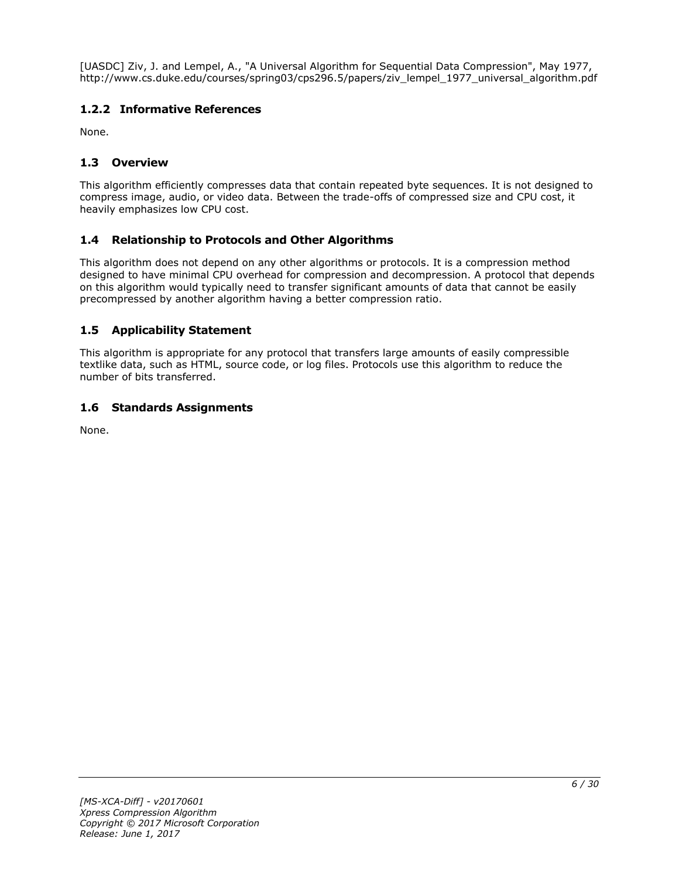[UASDC] Ziv, J. and Lempel, A., "A Universal Algorithm for Sequential Data Compression", May 1977, http://www.cs.duke.edu/courses/spring03/cps296.5/papers/ziv\_lempel\_1977\_universal\_algorithm.pdf

# <span id="page-5-0"></span>**1.2.2 Informative References**

None.

# <span id="page-5-1"></span>**1.3 Overview**

This algorithm efficiently compresses data that contain repeated byte sequences. It is not designed to compress image, audio, or video data. Between the trade-offs of compressed size and CPU cost, it heavily emphasizes low CPU cost.

# <span id="page-5-2"></span>**1.4 Relationship to Protocols and Other Algorithms**

This algorithm does not depend on any other algorithms or protocols. It is a compression method designed to have minimal CPU overhead for compression and decompression. A protocol that depends on this algorithm would typically need to transfer significant amounts of data that cannot be easily precompressed by another algorithm having a better compression ratio.

# <span id="page-5-3"></span>**1.5 Applicability Statement**

This algorithm is appropriate for any protocol that transfers large amounts of easily compressible textlike data, such as HTML, source code, or log files. Protocols use this algorithm to reduce the number of bits transferred.

### <span id="page-5-4"></span>**1.6 Standards Assignments**

None.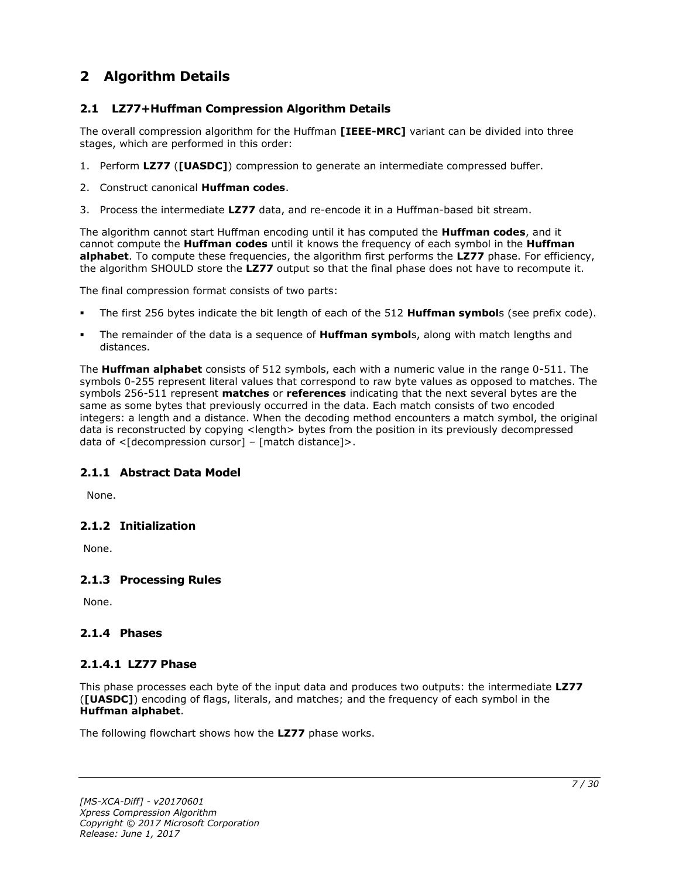# <span id="page-6-0"></span>**2 Algorithm Details**

# <span id="page-6-1"></span>**2.1 LZ77+Huffman Compression Algorithm Details**

The overall compression algorithm for the Huffman **[IEEE-MRC]** variant can be divided into three stages, which are performed in this order:

- 1. Perform **LZ77** (**[UASDC]**) compression to generate an intermediate compressed buffer.
- 2. Construct canonical **Huffman codes**.
- 3. Process the intermediate **LZ77** data, and re-encode it in a Huffman-based bit stream.

The algorithm cannot start Huffman encoding until it has computed the **Huffman codes**, and it cannot compute the **Huffman codes** until it knows the frequency of each symbol in the **Huffman alphabet**. To compute these frequencies, the algorithm first performs the **LZ77** phase. For efficiency, the algorithm SHOULD store the **LZ77** output so that the final phase does not have to recompute it.

The final compression format consists of two parts:

- The first 256 bytes indicate the bit length of each of the 512 **Huffman symbol**s (see prefix code).
- The remainder of the data is a sequence of **Huffman symbol**s, along with match lengths and distances.

The **Huffman alphabet** consists of 512 symbols, each with a numeric value in the range 0-511. The symbols 0-255 represent literal values that correspond to raw byte values as opposed to matches. The symbols 256-511 represent **matches** or **references** indicating that the next several bytes are the same as some bytes that previously occurred in the data. Each match consists of two encoded integers: a length and a distance. When the decoding method encounters a match symbol, the original data is reconstructed by copying <length> bytes from the position in its previously decompressed data of <[decompression cursor] – [match distance]>.

# <span id="page-6-2"></span>**2.1.1 Abstract Data Model**

None.

#### <span id="page-6-3"></span>**2.1.2 Initialization**

None.

# <span id="page-6-4"></span>**2.1.3 Processing Rules**

None.

# <span id="page-6-5"></span>**2.1.4 Phases**

# <span id="page-6-6"></span>**2.1.4.1 LZ77 Phase**

This phase processes each byte of the input data and produces two outputs: the intermediate **LZ77** (**[UASDC]**) encoding of flags, literals, and matches; and the frequency of each symbol in the **Huffman alphabet**.

The following flowchart shows how the **LZ77** phase works.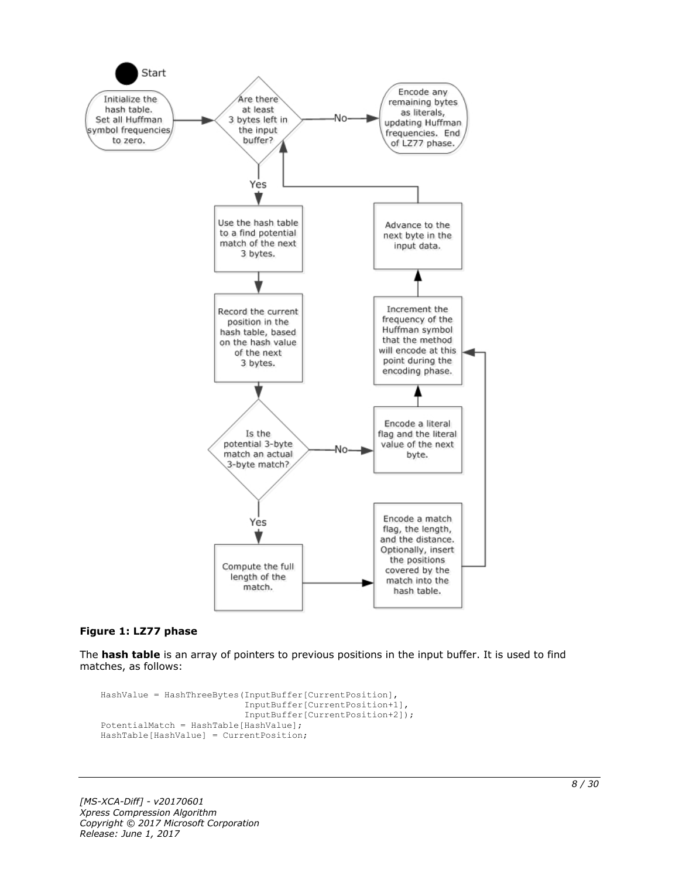

#### **Figure 1: LZ77 phase**

The **hash table** is an array of pointers to previous positions in the input buffer. It is used to find matches, as follows:

```
HashValue = HashThreeBytes(InputBuffer[CurrentPosition],
                            InputBuffer[CurrentPosition+1],
                            InputBuffer[CurrentPosition+2]);
PotentialMatch = HashTable[HashValue];
HashTable[HashValue] = CurrentPosition;
```
*[MS-XCA-Diff] - v20170601 Xpress Compression Algorithm Copyright © 2017 Microsoft Corporation Release: June 1, 2017*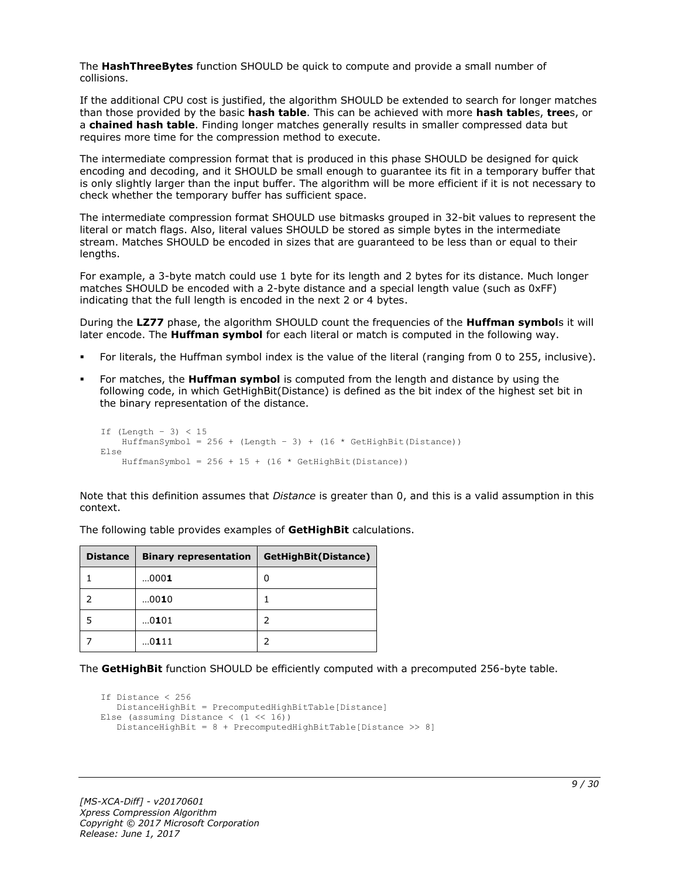The **HashThreeBytes** function SHOULD be quick to compute and provide a small number of collisions.

If the additional CPU cost is justified, the algorithm SHOULD be extended to search for longer matches than those provided by the basic **hash table**. This can be achieved with more **hash table**s, **tree**s, or a **chained hash table**. Finding longer matches generally results in smaller compressed data but requires more time for the compression method to execute.

The intermediate compression format that is produced in this phase SHOULD be designed for quick encoding and decoding, and it SHOULD be small enough to guarantee its fit in a temporary buffer that is only slightly larger than the input buffer. The algorithm will be more efficient if it is not necessary to check whether the temporary buffer has sufficient space.

The intermediate compression format SHOULD use bitmasks grouped in 32-bit values to represent the literal or match flags. Also, literal values SHOULD be stored as simple bytes in the intermediate stream. Matches SHOULD be encoded in sizes that are guaranteed to be less than or equal to their lengths.

For example, a 3-byte match could use 1 byte for its length and 2 bytes for its distance. Much longer matches SHOULD be encoded with a 2-byte distance and a special length value (such as 0xFF) indicating that the full length is encoded in the next 2 or 4 bytes.

During the **LZ77** phase, the algorithm SHOULD count the frequencies of the **Huffman symbol**s it will later encode. The **Huffman symbol** for each literal or match is computed in the following way.

- For literals, the Huffman symbol index is the value of the literal (ranging from 0 to 255, inclusive).
- For matches, the **Huffman symbol** is computed from the length and distance by using the following code, in which GetHighBit(Distance) is defined as the bit index of the highest set bit in the binary representation of the distance.

```
If (Lenqth - 3) < 15HuffmanSymbol = 256 + (Length - 3) + (16 * GetHighBit(Distance))Else
    HuffmanSymbol = 256 + 15 + (16 * \text{GetHighBit}(\text{Distance}))
```
Note that this definition assumes that *Distance* is greater than 0, and this is a valid assumption in this context.

| <b>Distance</b> | <b>Binary representation</b> | GetHighBit(Distance) |
|-----------------|------------------------------|----------------------|
|                 | 0001                         | 0                    |
|                 | 0010                         |                      |
| 5               | 0101                         | 2                    |
|                 | 0111                         |                      |

The following table provides examples of **GetHighBit** calculations.

The **GetHighBit** function SHOULD be efficiently computed with a precomputed 256-byte table.

```
If Distance < 256
    DistanceHighBit = PrecomputedHighBitTable[Distance]
Else (assuming Distance \langle (1 \langle 16))
    DistanceHighBit = 8 + PrecomputedHighBitTable[Distance >> 8]
```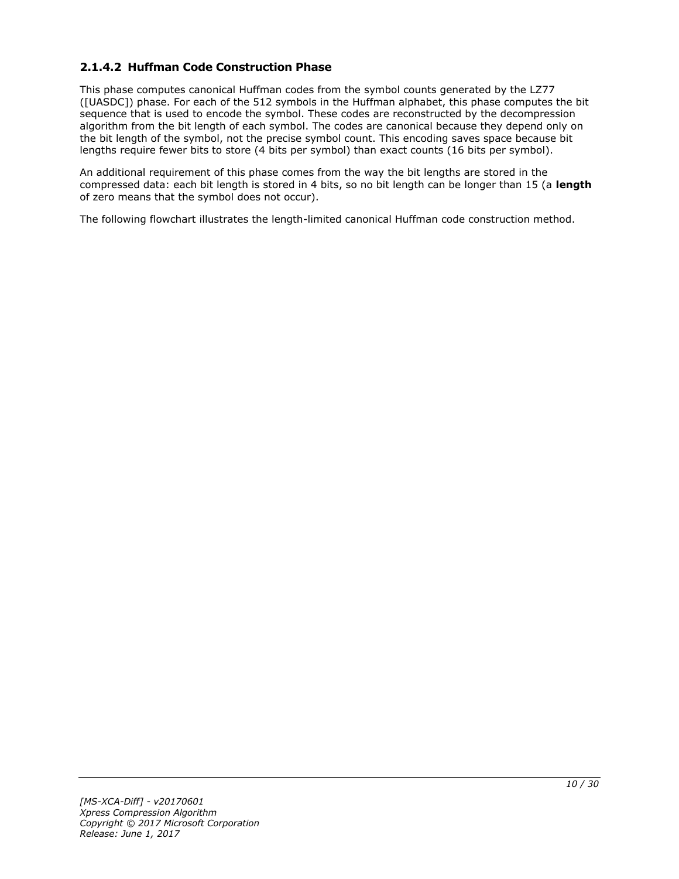# <span id="page-9-0"></span>**2.1.4.2 Huffman Code Construction Phase**

This phase computes canonical Huffman codes from the symbol counts generated by the LZ77 ([UASDC]) phase. For each of the 512 symbols in the Huffman alphabet, this phase computes the bit sequence that is used to encode the symbol. These codes are reconstructed by the decompression algorithm from the bit length of each symbol. The codes are canonical because they depend only on the bit length of the symbol, not the precise symbol count. This encoding saves space because bit lengths require fewer bits to store (4 bits per symbol) than exact counts (16 bits per symbol).

An additional requirement of this phase comes from the way the bit lengths are stored in the compressed data: each bit length is stored in 4 bits, so no bit length can be longer than 15 (a **length** of zero means that the symbol does not occur).

The following flowchart illustrates the length-limited canonical Huffman code construction method.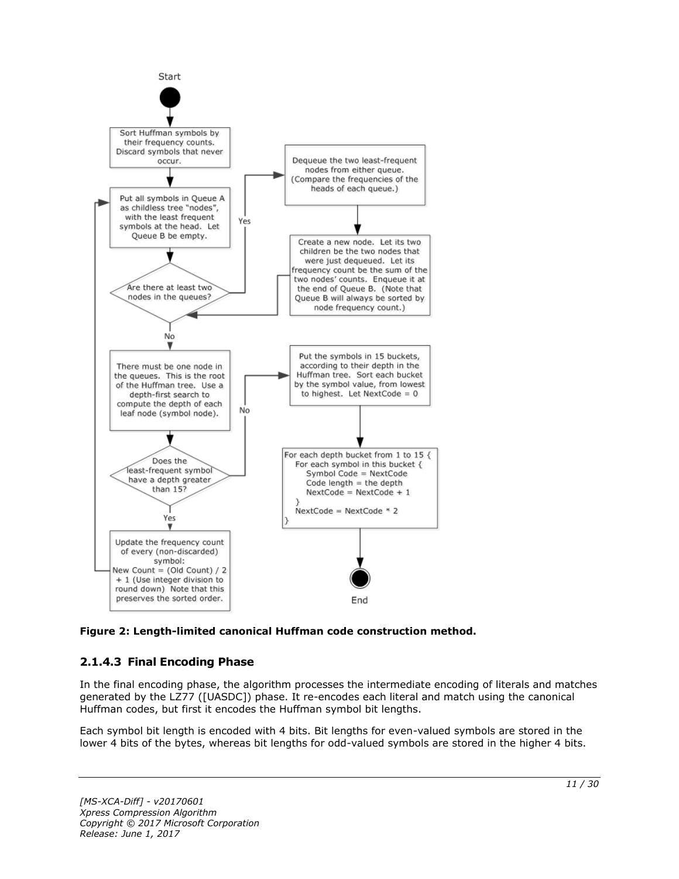

**Figure 2: Length-limited canonical Huffman code construction method.**

# <span id="page-10-0"></span>**2.1.4.3 Final Encoding Phase**

In the final encoding phase, the algorithm processes the intermediate encoding of literals and matches generated by the LZ77 ([UASDC]) phase. It re-encodes each literal and match using the canonical Huffman codes, but first it encodes the Huffman symbol bit lengths.

Each symbol bit length is encoded with 4 bits. Bit lengths for even-valued symbols are stored in the lower 4 bits of the bytes, whereas bit lengths for odd-valued symbols are stored in the higher 4 bits.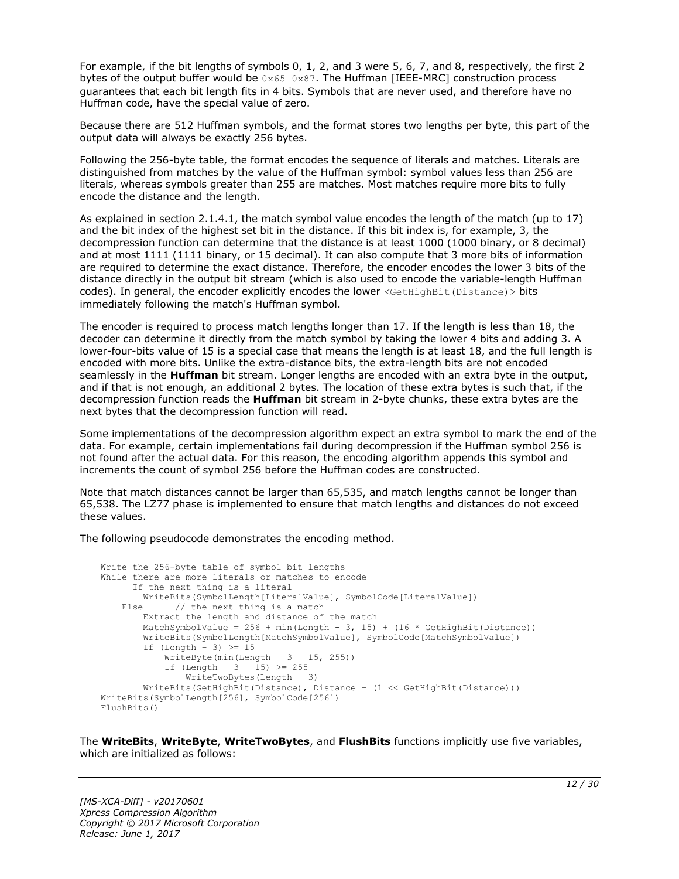For example, if the bit lengths of symbols 0, 1, 2, and 3 were 5, 6, 7, and 8, respectively, the first 2 bytes of the output buffer would be  $0 \times 65$  0x87. The Huffman [IEEE-MRC] construction process guarantees that each bit length fits in 4 bits. Symbols that are never used, and therefore have no Huffman code, have the special value of zero.

Because there are 512 Huffman symbols, and the format stores two lengths per byte, this part of the output data will always be exactly 256 bytes.

Following the 256-byte table, the format encodes the sequence of literals and matches. Literals are distinguished from matches by the value of the Huffman symbol: symbol values less than 256 are literals, whereas symbols greater than 255 are matches. Most matches require more bits to fully encode the distance and the length.

As explained in section 2.1.4.1, the match symbol value encodes the length of the match (up to 17) and the bit index of the highest set bit in the distance. If this bit index is, for example, 3, the decompression function can determine that the distance is at least 1000 (1000 binary, or 8 decimal) and at most 1111 (1111 binary, or 15 decimal). It can also compute that 3 more bits of information are required to determine the exact distance. Therefore, the encoder encodes the lower 3 bits of the distance directly in the output bit stream (which is also used to encode the variable-length Huffman codes). In general, the encoder explicitly encodes the lower <GetHighBit(Distance) > bits immediately following the match's Huffman symbol.

The encoder is required to process match lengths longer than 17. If the length is less than 18, the decoder can determine it directly from the match symbol by taking the lower 4 bits and adding 3. A lower-four-bits value of 15 is a special case that means the length is at least 18, and the full length is encoded with more bits. Unlike the extra-distance bits, the extra-length bits are not encoded seamlessly in the **Huffman** bit stream. Longer lengths are encoded with an extra byte in the output, and if that is not enough, an additional 2 bytes. The location of these extra bytes is such that, if the decompression function reads the **Huffman** bit stream in 2-byte chunks, these extra bytes are the next bytes that the decompression function will read.

Some implementations of the decompression algorithm expect an extra symbol to mark the end of the data. For example, certain implementations fail during decompression if the Huffman symbol 256 is not found after the actual data. For this reason, the encoding algorithm appends this symbol and increments the count of symbol 256 before the Huffman codes are constructed.

Note that match distances cannot be larger than 65,535, and match lengths cannot be longer than 65,538. The LZ77 phase is implemented to ensure that match lengths and distances do not exceed these values.

The following pseudocode demonstrates the encoding method.

```
Write the 256-byte table of symbol bit lengths
While there are more literals or matches to encode
      If the next thing is a literal
         WriteBits(SymbolLength[LiteralValue], SymbolCode[LiteralValue])
   Else // the next thing is a match
         Extract the length and distance of the match
        MatchSymbolValue = 256 + min(Length - 3, 15) + (16 * GetHighBit(Distance))
         WriteBits(SymbolLength[MatchSymbolValue], SymbolCode[MatchSymbolValue])
        If (Length - 3) \geq 15
            WriteByte(min(Length - 3 - 15, 255))
            If (Length - 3 - 15) >= 255
                WriteTwoBytes(Length – 3)
         WriteBits(GetHighBit(Distance), Distance – (1 << GetHighBit(Distance)))
WriteBits(SymbolLength[256], SymbolCode[256])
FlushBits()
```
The **WriteBits**, **WriteByte**, **WriteTwoBytes**, and **FlushBits** functions implicitly use five variables, which are initialized as follows: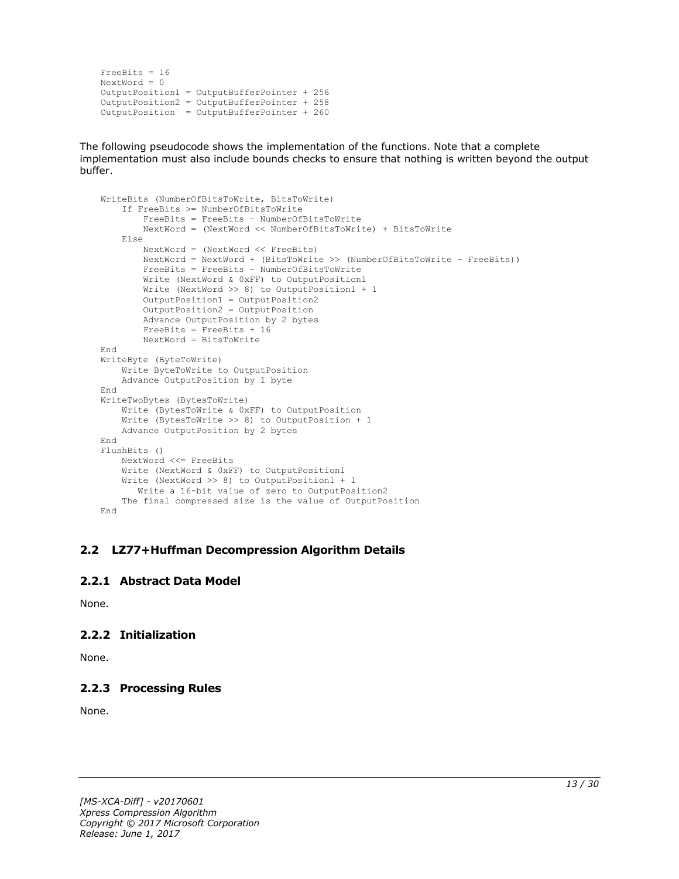```
FreeBits = 16
NextWord = 0
OutputPosition1 = OutputBufferPointer + 256
OutputPosition2 = OutputBufferPointer + 258 
OutputPosition = OutputBufferPointer + 260
```
The following pseudocode shows the implementation of the functions. Note that a complete implementation must also include bounds checks to ensure that nothing is written beyond the output buffer.

```
WriteBits (NumberOfBitsToWrite, BitsToWrite)
     If FreeBits >= NumberOfBitsToWrite
         FreeBits = FreeBits – NumberOfBitsToWrite
         NextWord = (NextWord << NumberOfBitsToWrite) + BitsToWrite
     Else
         NextWord = (NextWord << FreeBits)
         NextWord = NextWord + (BitsToWrite >> (NumberOfBitsToWrite – FreeBits))
         FreeBits = FreeBits – NumberOfBitsToWrite
         Write (NextWord & 0xFF) to OutputPosition1
         Write (NextWord >> 8) to OutputPosition1 + 1
         OutputPosition1 = OutputPosition2
        OutputPosition2 = OutputPosition
         Advance OutputPosition by 2 bytes
         FreeBits = FreeBits + 16
         NextWord = BitsToWrite
End
WriteByte (ByteToWrite)
    Write ByteToWrite to OutputPosition
     Advance OutputPosition by 1 byte
End
WriteTwoBytes (BytesToWrite)
     Write (BytesToWrite & 0xFF) to OutputPosition
     Write (BytesToWrite >> 8) to OutputPosition + 1
     Advance OutputPosition by 2 bytes
End
FlushBits ()
     NextWord <<= FreeBits
     Write (NextWord & 0xFF) to OutputPosition1
     Write (NextWord >> 8) to OutputPosition1 + 1
       Write a 16-bit value of zero to OutputPosition2
     The final compressed size is the value of OutputPosition
End
```
#### <span id="page-12-0"></span>**2.2 LZ77+Huffman Decompression Algorithm Details**

#### <span id="page-12-1"></span>**2.2.1 Abstract Data Model**

None.

# <span id="page-12-2"></span>**2.2.2 Initialization**

None.

# <span id="page-12-3"></span>**2.2.3 Processing Rules**

None.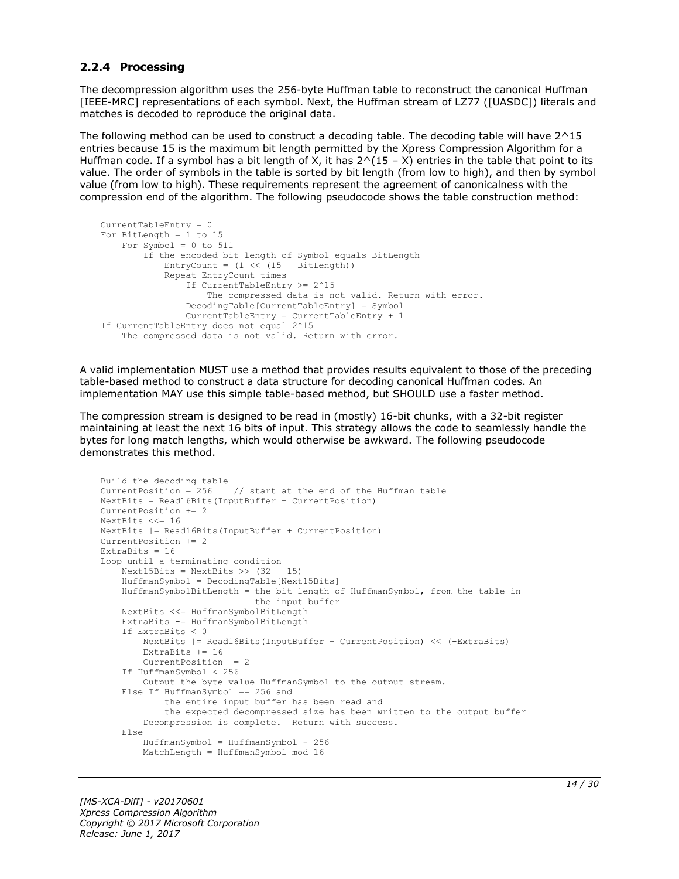#### <span id="page-13-0"></span>**2.2.4 Processing**

The decompression algorithm uses the 256-byte Huffman table to reconstruct the canonical Huffman [IEEE-MRC] representations of each symbol. Next, the Huffman stream of LZ77 ([UASDC]) literals and matches is decoded to reproduce the original data.

The following method can be used to construct a decoding table. The decoding table will have 2^15 entries because 15 is the maximum bit length permitted by the Xpress Compression Algorithm for a Huffman code. If a symbol has a bit length of X, it has  $2^(15 - X)$  entries in the table that point to its value. The order of symbols in the table is sorted by bit length (from low to high), and then by symbol value (from low to high). These requirements represent the agreement of canonicalness with the compression end of the algorithm. The following pseudocode shows the table construction method:

```
CurrentTableEntry = 0
For BitLength = 1 to 15
   For Symbol = 0 to 511
         If the encoded bit length of Symbol equals BitLength
            EntryCount = (1 \ll (15 - \text{BitLength})) Repeat EntryCount times
                 If CurrentTableEntry >= 2^15
                     The compressed data is not valid. Return with error.
                 DecodingTable[CurrentTableEntry] = Symbol
                CurrentTableEntry = CurrentTableEntry + 1
If CurrentTableEntry does not equal 2^15
     The compressed data is not valid. Return with error.
```
A valid implementation MUST use a method that provides results equivalent to those of the preceding table-based method to construct a data structure for decoding canonical Huffman codes. An implementation MAY use this simple table-based method, but SHOULD use a faster method.

The compression stream is designed to be read in (mostly) 16-bit chunks, with a 32-bit register maintaining at least the next 16 bits of input. This strategy allows the code to seamlessly handle the bytes for long match lengths, which would otherwise be awkward. The following pseudocode demonstrates this method.

```
Build the decoding table
CurrentPosition = 256 // start at the end of the Huffman table
NextBits = Read16Bits(InputBuffer + CurrentPosition)
CurrentPosition += 2
NextBits <<= 16
NextBits |= Read16Bits(InputBuffer + CurrentPosition)
CurrentPosition += 2
ExtraBits = 16
Loop until a terminating condition
    Next15Bits = NextBits >> (32 - 15)
     HuffmanSymbol = DecodingTable[Next15Bits]
     HuffmanSymbolBitLength = the bit length of HuffmanSymbol, from the table in
                              the input buffer
     NextBits <<= HuffmanSymbolBitLength
     ExtraBits -= HuffmanSymbolBitLength
     If ExtraBits < 0
         NextBits |= Read16Bits(InputBuffer + CurrentPosition) << (-ExtraBits)
        ExtraBits += 16 CurrentPosition += 2
     If HuffmanSymbol < 256
        Output the byte value HuffmanSymbol to the output stream.
     Else If HuffmanSymbol == 256 and
             the entire input buffer has been read and
             the expected decompressed size has been written to the output buffer
         Decompression is complete. Return with success.
     Else
         HuffmanSymbol = HuffmanSymbol - 256
         MatchLength = HuffmanSymbol mod 16
```
*[MS-XCA-Diff] - v20170601 Xpress Compression Algorithm Copyright © 2017 Microsoft Corporation Release: June 1, 2017*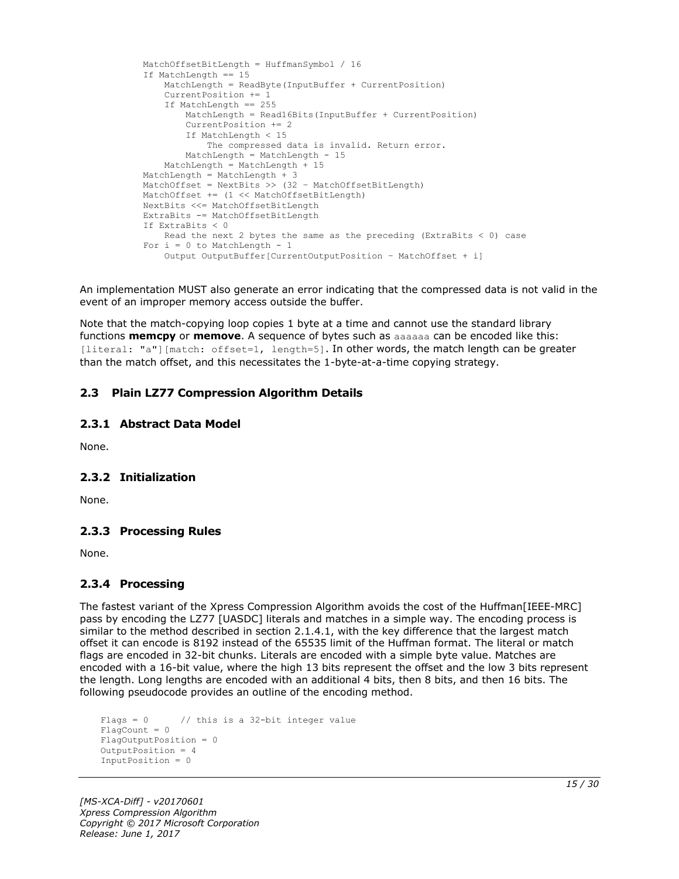```
 MatchOffsetBitLength = HuffmanSymbol / 16
 If MatchLength == 15
    MatchLength = ReadByte(InputBuffer + CurrentPosition)
     CurrentPosition += 1
     If MatchLength == 255
        MatchLength = Read16Bits(InputBuffer + CurrentPosition)
         CurrentPosition += 2
        If MatchLength < 15
             The compressed data is invalid. Return error.
        MatchLength = MatchLength - 15
     MatchLength = MatchLength + 15
 MatchLength = MatchLength + 3
MatchOffset = NextBits >> (32 - \text{MatchOffsetBitLength}) MatchOffset += (1 << MatchOffsetBitLength)
 NextBits <<= MatchOffsetBitLength
 ExtraBits -= MatchOffsetBitLength
 If ExtraBits < 0
   Read the next 2 bytes the same as the preceding (ExtraBits \leq 0) case
For i = 0 to MatchLength - 1
     Output OutputBuffer[CurrentOutputPosition – MatchOffset + i]
```
An implementation MUST also generate an error indicating that the compressed data is not valid in the event of an improper memory access outside the buffer.

Note that the match-copying loop copies 1 byte at a time and cannot use the standard library functions **memcpy** or **memove**. A sequence of bytes such as aaaaaa can be encoded like this: [literal: "a"][match: offset=1, length=5]. In other words, the match length can be greater than the match offset, and this necessitates the 1-byte-at-a-time copying strategy.

### <span id="page-14-0"></span>**2.3 Plain LZ77 Compression Algorithm Details**

#### <span id="page-14-1"></span>**2.3.1 Abstract Data Model**

None.

#### <span id="page-14-2"></span>**2.3.2 Initialization**

None.

#### <span id="page-14-3"></span>**2.3.3 Processing Rules**

None.

#### <span id="page-14-4"></span>**2.3.4 Processing**

The fastest variant of the Xpress Compression Algorithm avoids the cost of the Huffman[IEEE-MRC] pass by encoding the LZ77 [UASDC] literals and matches in a simple way. The encoding process is similar to the method described in section 2.1.4.1, with the key difference that the largest match offset it can encode is 8192 instead of the 65535 limit of the Huffman format. The literal or match flags are encoded in 32-bit chunks. Literals are encoded with a simple byte value. Matches are encoded with a 16-bit value, where the high 13 bits represent the offset and the low 3 bits represent the length. Long lengths are encoded with an additional 4 bits, then 8 bits, and then 16 bits. The following pseudocode provides an outline of the encoding method.

```
Flags = 0 // this is a 32-bit integer value
FlaqCount = 0FlagOutputPosition = 0
OutputPosition = 4
InputPosition = 0
```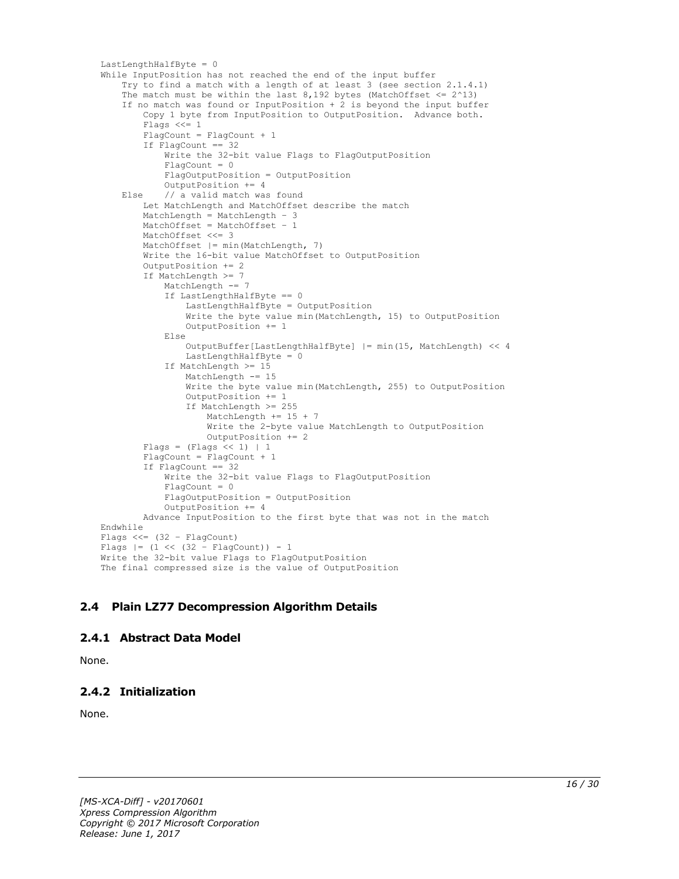```
LastLengthHalfByte = 0
While InputPosition has not reached the end of the input buffer
     Try to find a match with a length of at least 3 (see section 2.1.4.1)
    The match must be within the last 8,192 bytes (MatchOffset \leq 2^13)
     If no match was found or InputPosition + 2 is beyond the input buffer
         Copy 1 byte from InputPosition to OutputPosition. Advance both.
        Flags <<= 1FlagCount = FlagCount + 1
         If FlagCount == 32
             Write the 32-bit value Flags to FlagOutputPosition
            Fla<sub>q</sub>Count = 0 FlagOutputPosition = OutputPosition
             OutputPosition += 4
     Else // a valid match was found
         Let MatchLength and MatchOffset describe the match
         MatchLength = MatchLength – 3
         MatchOffset = MatchOffset – 1
         MatchOffset <<= 3
         MatchOffset |= min(MatchLength, 7)
         Write the 16-bit value MatchOffset to OutputPosition
         OutputPosition += 2
         If MatchLength >= 7
             MatchLength -= 7
             If LastLengthHalfByte == 0
                 LastLengthHalfByte = OutputPosition
                 Write the byte value min(MatchLength, 15) to OutputPosition
                OutputPosition += 1
             Else
                 OutputBuffer[LastLengthHalfByte] |= min(15, MatchLength) << 4
                LastLengthHalfByte = 0 If MatchLength >= 15
                 MatchLength -= 15
                 Write the byte value min(MatchLength, 255) to OutputPosition
                 OutputPosition += 1
                 If MatchLength >= 255
                     MatchLength += 15 + 7
                    Write the 2-byte value MatchLength to OutputPosition
                     OutputPosition += 2
        Flags = (Flags << 1) | 1
         FlagCount = FlagCount + 1
        If FlagCount == 32 Write the 32-bit value Flags to FlagOutputPosition
            FlaqCount = 0 FlagOutputPosition = OutputPosition
             OutputPosition += 4
         Advance InputPosition to the first byte that was not in the match
Endwhile
Flags <<= (32 – FlagCount)
Flags |= (1 \lt\lt (32 - \text{FlagCount})) - 1Write the 32-bit value Flags to FlagOutputPosition
The final compressed size is the value of OutputPosition
```
# <span id="page-15-0"></span>**2.4 Plain LZ77 Decompression Algorithm Details**

#### <span id="page-15-1"></span>**2.4.1 Abstract Data Model**

None.

# <span id="page-15-2"></span>**2.4.2 Initialization**

None.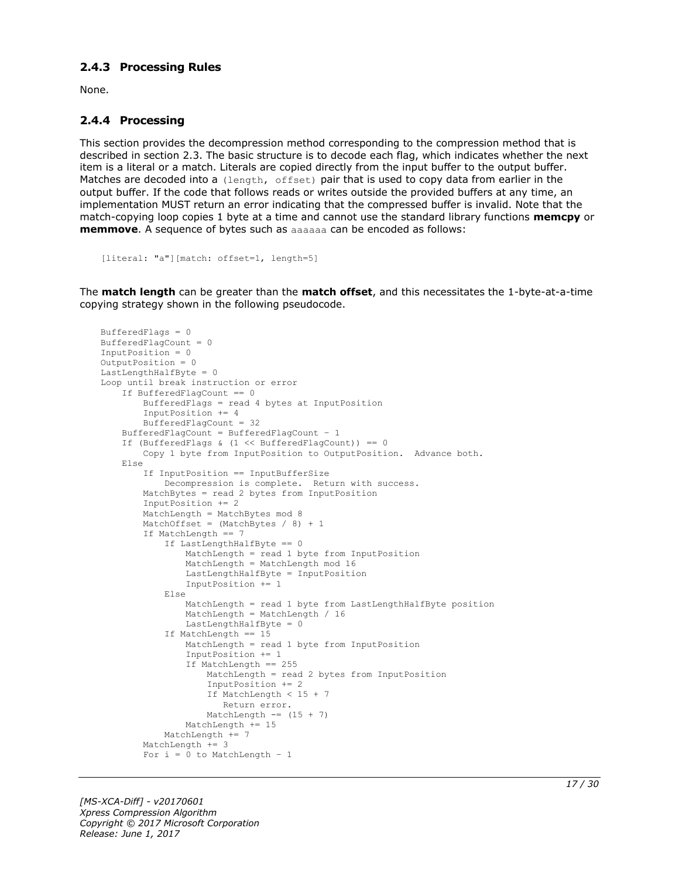#### <span id="page-16-0"></span>**2.4.3 Processing Rules**

None.

#### <span id="page-16-1"></span>**2.4.4 Processing**

This section provides the decompression method corresponding to the compression method that is described in section 2.3. The basic structure is to decode each flag, which indicates whether the next item is a literal or a match. Literals are copied directly from the input buffer to the output buffer. Matches are decoded into a (length, offset) pair that is used to copy data from earlier in the output buffer. If the code that follows reads or writes outside the provided buffers at any time, an implementation MUST return an error indicating that the compressed buffer is invalid. Note that the match-copying loop copies 1 byte at a time and cannot use the standard library functions **memcpy** or **memmove**. A sequence of bytes such as aaaaaa can be encoded as follows:

```
[literal: "a"][match: offset=1, length=5]
```
The **match length** can be greater than the **match offset**, and this necessitates the 1-byte-at-a-time copying strategy shown in the following pseudocode.

```
BufferedFlags = 0
BufferedFlagCount = 0
InputPosition = 0
OutputPosition = 0
LastLengthHalfByte = 0
Loop until break instruction or error
     If BufferedFlagCount == 0
         BufferedFlags = read 4 bytes at InputPosition
         InputPosition += 4
         BufferedFlagCount = 32
     BufferedFlagCount = BufferedFlagCount – 1
     If (BufferedFlags & (1 << BufferedFlagCount)) == 0
         Copy 1 byte from InputPosition to OutputPosition. Advance both.
     Else
         If InputPosition == InputBufferSize
             Decompression is complete. Return with success.
         MatchBytes = read 2 bytes from InputPosition
         InputPosition += 2
         MatchLength = MatchBytes mod 8
        MatchOffset = (MatchBytes / 8) + 1 If MatchLength == 7
             If LastLengthHalfByte == 0
                 MatchLength = read 1 byte from InputPosition
                MatchLength = MatchLength mod 16
                 LastLengthHalfByte = InputPosition
                InputPosition += 1
             Else
                 MatchLength = read 1 byte from LastLengthHalfByte position
                MatchLength = MatchLength / 16
                 LastLengthHalfByte = 0
             If MatchLength == 15
                 MatchLength = read 1 byte from InputPosition
                 InputPosition += 1
                 If MatchLength == 255
                     MatchLength = read 2 bytes from InputPosition
                     InputPosition += 2
                     If MatchLength < 15 + 7
                       Return error.
                    MatchLength == (15 + 7)
                MathLength += 15 MatchLength += 7
         MatchLength += 3
        For i = 0 to MatchLength - 1
```
*[MS-XCA-Diff] - v20170601 Xpress Compression Algorithm Copyright © 2017 Microsoft Corporation Release: June 1, 2017*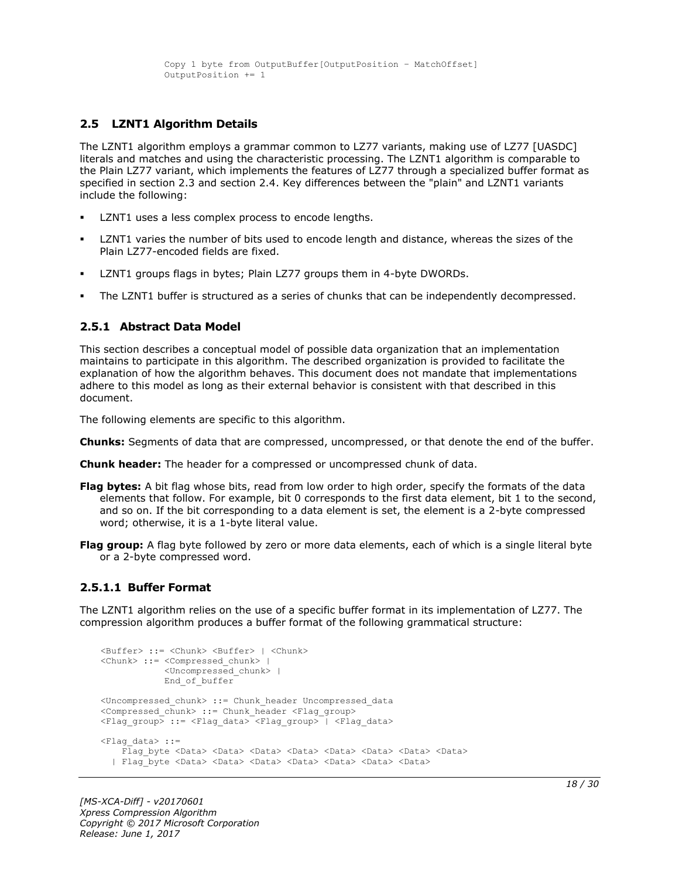#### <span id="page-17-0"></span>**2.5 LZNT1 Algorithm Details**

The LZNT1 algorithm employs a grammar common to LZ77 variants, making use of LZ77 [UASDC] literals and matches and using the characteristic processing. The LZNT1 algorithm is comparable to the Plain LZ77 variant, which implements the features of LZ77 through a specialized buffer format as specified in section 2.3 and section 2.4. Key differences between the "plain" and LZNT1 variants include the following:

- LZNT1 uses a less complex process to encode lengths.
- LZNT1 varies the number of bits used to encode length and distance, whereas the sizes of the Plain LZ77-encoded fields are fixed.
- LZNT1 groups flags in bytes; Plain LZ77 groups them in 4-byte DWORDs.
- The LZNT1 buffer is structured as a series of chunks that can be independently decompressed.

#### <span id="page-17-1"></span>**2.5.1 Abstract Data Model**

This section describes a conceptual model of possible data organization that an implementation maintains to participate in this algorithm. The described organization is provided to facilitate the explanation of how the algorithm behaves. This document does not mandate that implementations adhere to this model as long as their external behavior is consistent with that described in this document.

The following elements are specific to this algorithm.

**Chunks:** Segments of data that are compressed, uncompressed, or that denote the end of the buffer.

**Chunk header:** The header for a compressed or uncompressed chunk of data.

- **Flag bytes:** A bit flag whose bits, read from low order to high order, specify the formats of the data elements that follow. For example, bit 0 corresponds to the first data element, bit 1 to the second, and so on. If the bit corresponding to a data element is set, the element is a 2-byte compressed word; otherwise, it is a 1-byte literal value.
- **Flag group:** A flag byte followed by zero or more data elements, each of which is a single literal byte or a 2-byte compressed word.

#### <span id="page-17-2"></span>**2.5.1.1 Buffer Format**

The LZNT1 algorithm relies on the use of a specific buffer format in its implementation of LZ77. The compression algorithm produces a buffer format of the following grammatical structure:

```
<Buffer> ::= <Chunk> <Buffer> | <Chunk>
<Chunk> ::= <Compressed_chunk> | 
             <Uncompressed_chunk> |
             End of buffer
<Uncompressed_chunk> ::= Chunk_header Uncompressed_data
<Compressed_chunk> ::= Chunk_header <Flag_group>
<Flag group> ::= <Flag data> <Flag group> | <Flag data>
<Flag_data> ::=
    Flag byte <Data> <Data> <Data> <Data> <Data> <Data> <Data> <Data> <Data> <Data> <Data> <Data> <Data
   | Flag_byte <Data> <Data> <Data> <Data> <Data> <Data> <Data>
```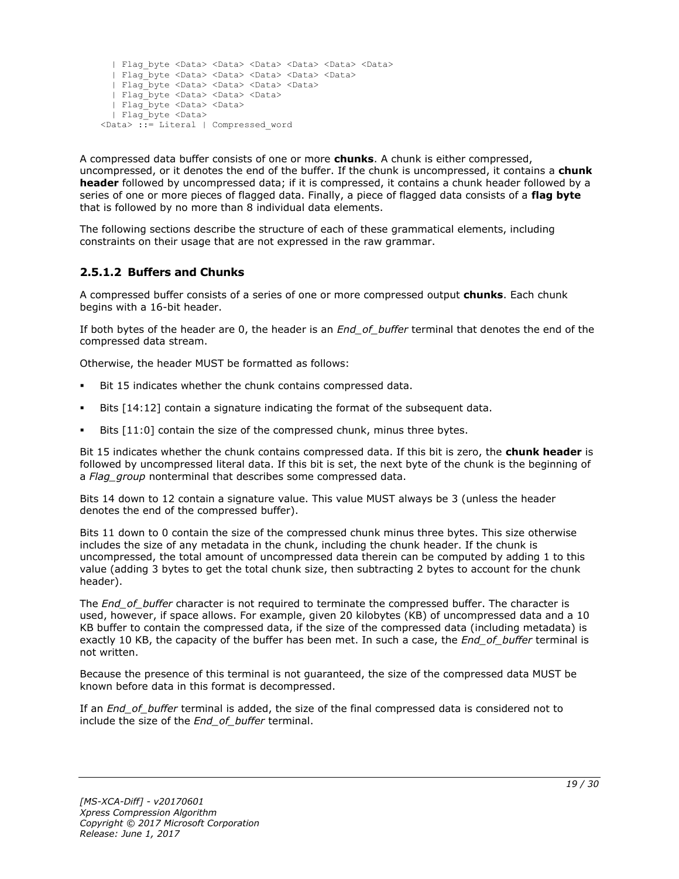```
 | Flag_byte <Data> <Data> <Data> <Data> <Data> <Data>
  | Flag_byte <Data> <Data> <Data> <Data> <Data>
  | Flag_byte <Data> <Data> <Data> <Data>
  | Flag_byte <Data> <Data> <Data> 
  | Flag_byte <Data> <Data>
  | Flag_byte <Data> 
<Data> ::= Literal | Compressed_word
```
A compressed data buffer consists of one or more **chunks**. A chunk is either compressed, uncompressed, or it denotes the end of the buffer. If the chunk is uncompressed, it contains a **chunk header** followed by uncompressed data; if it is compressed, it contains a chunk header followed by a series of one or more pieces of flagged data. Finally, a piece of flagged data consists of a **flag byte** that is followed by no more than 8 individual data elements.

The following sections describe the structure of each of these grammatical elements, including constraints on their usage that are not expressed in the raw grammar.

# <span id="page-18-0"></span>**2.5.1.2 Buffers and Chunks**

A compressed buffer consists of a series of one or more compressed output **chunks**. Each chunk begins with a 16-bit header.

If both bytes of the header are 0, the header is an *End\_of\_buffer* terminal that denotes the end of the compressed data stream.

Otherwise, the header MUST be formatted as follows:

- Bit 15 indicates whether the chunk contains compressed data.
- Bits  $[14:12]$  contain a signature indicating the format of the subsequent data.
- Bits [11:0] contain the size of the compressed chunk, minus three bytes.

Bit 15 indicates whether the chunk contains compressed data. If this bit is zero, the **chunk header** is followed by uncompressed literal data. If this bit is set, the next byte of the chunk is the beginning of a *Flag\_group* nonterminal that describes some compressed data.

Bits 14 down to 12 contain a signature value. This value MUST always be 3 (unless the header denotes the end of the compressed buffer).

Bits 11 down to 0 contain the size of the compressed chunk minus three bytes. This size otherwise includes the size of any metadata in the chunk, including the chunk header. If the chunk is uncompressed, the total amount of uncompressed data therein can be computed by adding 1 to this value (adding 3 bytes to get the total chunk size, then subtracting 2 bytes to account for the chunk header).

The *End\_of\_buffer* character is not required to terminate the compressed buffer. The character is used, however, if space allows. For example, given 20 kilobytes (KB) of uncompressed data and a 10 KB buffer to contain the compressed data, if the size of the compressed data (including metadata) is exactly 10 KB, the capacity of the buffer has been met. In such a case, the *End\_of\_buffer* terminal is not written.

Because the presence of this terminal is not guaranteed, the size of the compressed data MUST be known before data in this format is decompressed.

If an *End\_of\_buffer* terminal is added, the size of the final compressed data is considered not to include the size of the *End\_of\_buffer* terminal.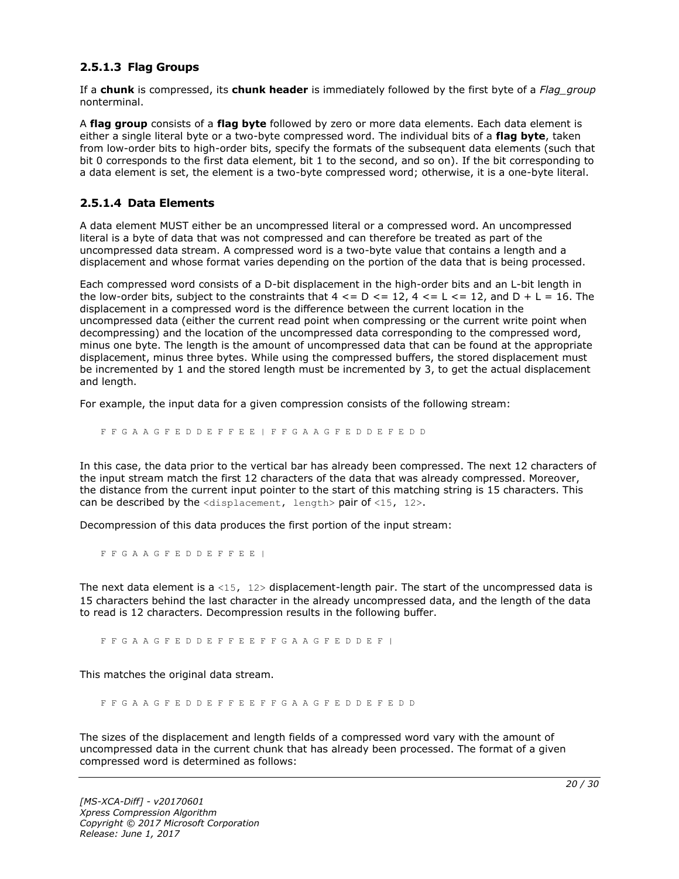#### <span id="page-19-0"></span>**2.5.1.3 Flag Groups**

If a **chunk** is compressed, its **chunk header** is immediately followed by the first byte of a *Flag\_group* nonterminal.

A **flag group** consists of a **flag byte** followed by zero or more data elements. Each data element is either a single literal byte or a two-byte compressed word. The individual bits of a **flag byte**, taken from low-order bits to high-order bits, specify the formats of the subsequent data elements (such that bit 0 corresponds to the first data element, bit 1 to the second, and so on). If the bit corresponding to a data element is set, the element is a two-byte compressed word; otherwise, it is a one-byte literal.

#### <span id="page-19-1"></span>**2.5.1.4 Data Elements**

A data element MUST either be an uncompressed literal or a compressed word. An uncompressed literal is a byte of data that was not compressed and can therefore be treated as part of the uncompressed data stream. A compressed word is a two-byte value that contains a length and a displacement and whose format varies depending on the portion of the data that is being processed.

Each compressed word consists of a D-bit displacement in the high-order bits and an L-bit length in the low-order bits, subject to the constraints that  $4 \leq D \leq 12$ ,  $4 \leq L \leq 12$ , and  $D + L = 16$ . The displacement in a compressed word is the difference between the current location in the uncompressed data (either the current read point when compressing or the current write point when decompressing) and the location of the uncompressed data corresponding to the compressed word, minus one byte. The length is the amount of uncompressed data that can be found at the appropriate displacement, minus three bytes. While using the compressed buffers, the stored displacement must be incremented by 1 and the stored length must be incremented by 3, to get the actual displacement and length.

For example, the input data for a given compression consists of the following stream:

F F G A A G F E D D E F F E E | F F G A A G F E D D E F E D D

In this case, the data prior to the vertical bar has already been compressed. The next 12 characters of the input stream match the first 12 characters of the data that was already compressed. Moreover, the distance from the current input pointer to the start of this matching string is 15 characters. This can be described by the  $\langle$ displacement, length> pair of  $\langle$ 15, 12>.

Decompression of this data produces the first portion of the input stream:

F F G A A G F E D D E F F E E |

The next data element is a <15,  $12$  bisplacement-length pair. The start of the uncompressed data is 15 characters behind the last character in the already uncompressed data, and the length of the data to read is 12 characters. Decompression results in the following buffer.

F F G A A G F E D D E F F E E F F G A A G F E D D E F |

This matches the original data stream.

F F G A A G F E D D E F F E E F F G A A G F E D D E F E D D

The sizes of the displacement and length fields of a compressed word vary with the amount of uncompressed data in the current chunk that has already been processed. The format of a given compressed word is determined as follows: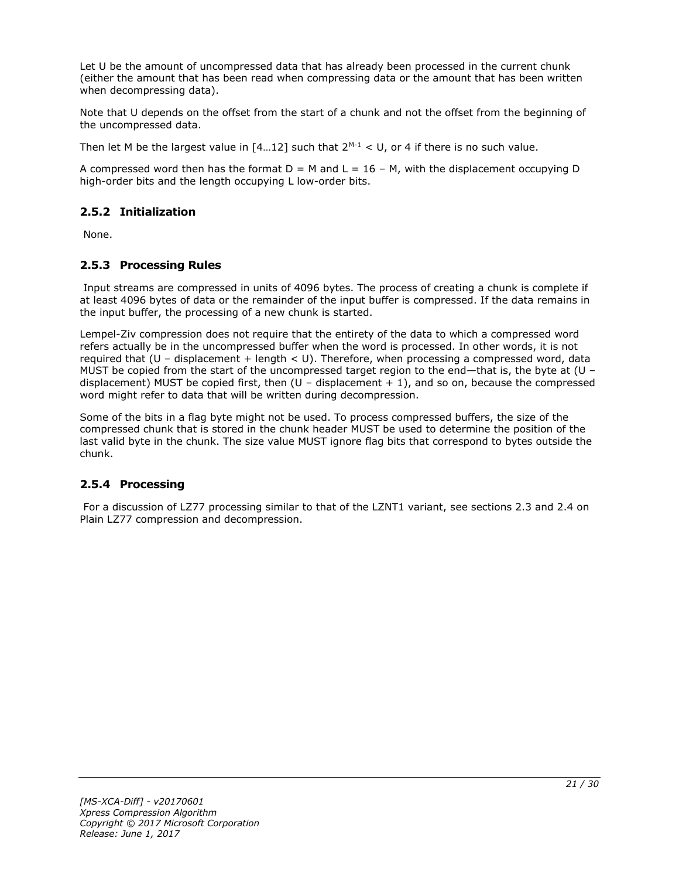Let U be the amount of uncompressed data that has already been processed in the current chunk (either the amount that has been read when compressing data or the amount that has been written when decompressing data).

Note that U depends on the offset from the start of a chunk and not the offset from the beginning of the uncompressed data.

Then let M be the largest value in  $[4...12]$  such that  $2^{M-1} < U$ , or 4 if there is no such value.

A compressed word then has the format  $D = M$  and  $L = 16 - M$ , with the displacement occupying D high-order bits and the length occupying L low-order bits.

### <span id="page-20-0"></span>**2.5.2 Initialization**

None.

### <span id="page-20-1"></span>**2.5.3 Processing Rules**

Input streams are compressed in units of 4096 bytes. The process of creating a chunk is complete if at least 4096 bytes of data or the remainder of the input buffer is compressed. If the data remains in the input buffer, the processing of a new chunk is started.

Lempel-Ziv compression does not require that the entirety of the data to which a compressed word refers actually be in the uncompressed buffer when the word is processed. In other words, it is not required that  $(U -$  displacement + length  $U$ . Therefore, when processing a compressed word, data MUST be copied from the start of the uncompressed target region to the end—that is, the byte at (U – displacement) MUST be copied first, then  $(U -$  displacement  $+ 1)$ , and so on, because the compressed word might refer to data that will be written during decompression.

Some of the bits in a flag byte might not be used. To process compressed buffers, the size of the compressed chunk that is stored in the chunk header MUST be used to determine the position of the last valid byte in the chunk. The size value MUST ignore flag bits that correspond to bytes outside the chunk.

#### <span id="page-20-2"></span>**2.5.4 Processing**

For a discussion of LZ77 processing similar to that of the LZNT1 variant, see sections 2.3 and 2.4 on Plain LZ77 compression and decompression.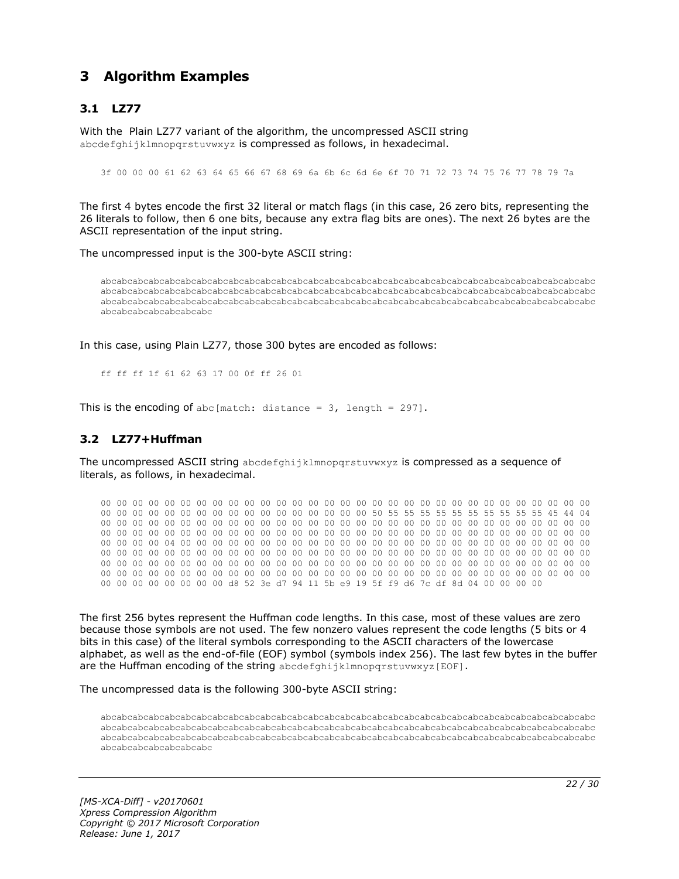# <span id="page-21-0"></span>**3 Algorithm Examples**

# <span id="page-21-1"></span>**3.1 LZ77**

With the Plain LZ77 variant of the algorithm, the uncompressed ASCII string abcdefghijklmnopgrstuvwxyz is compressed as follows, in hexadecimal.

3f 00 00 00 61 62 63 64 65 66 67 68 69 6a 6b 6c 6d 6e 6f 70 71 72 73 74 75 76 77 78 79 7a

The first 4 bytes encode the first 32 literal or match flags (in this case, 26 zero bits, representing the 26 literals to follow, then 6 one bits, because any extra flag bits are ones). The next 26 bytes are the ASCII representation of the input string.

The uncompressed input is the 300-byte ASCII string:

abcabcabcabcabcabcabcabcabcabcabcabcabcabcabcabcabcabcabcabcabcabcabcabcabcabcabcabcabcabcabc abcabcabcabcabcabcabcabcabcabcabcabcabcabcabcabcabcabcabcabcabcabcabcabcabcabcabcabcabcabcabc abcabcabcabcabcabcabcabcabcabcabcabcabcabcabcabcabcabcabcabcabcabcabcabcabcabcabcabcabcabcabc abcabcabcabcabcabcabc

In this case, using Plain LZ77, those 300 bytes are encoded as follows:

ff ff ff 1f 61 62 63 17 00 0f ff 26 01

This is the encoding of abc [match: distance =  $3$ , length = 297].

#### <span id="page-21-2"></span>**3.2 LZ77+Huffman**

The uncompressed ASCII string abcdefghijklmnopqrstuvwxyz is compressed as a sequence of literals, as follows, in hexadecimal.

00 00 00 00 00 00 00 00 00 00 00 00 00 00 00 00 00 00 00 00 00 00 00 00 00 00 00 00 00 00 00 00 00 00 00 00 00 00 00 00 00 00 00 00 00 00 00 00 50 55 55 55 55 55 55 55 55 55 55 45 44 04 00 00 00 00 00 00 00 00 00 00 00 00 00 00 00 00 00 00 00 00 00 00 00 00 00 00 00 00 00 00 00 00 00 00 00 00 00 00 00 00 00 00 00 00 00 00 00 00 00 00 00 00 00 00 00 00 00 00 00 00 00 00 00 00 00 00 04 00 00 00 00 00 00 00 00 00 00 00 00 00 00 00 00 00 00 00 00 00 00 00 00 00 00 00 00 00 00 00 00 00 00 00 00 00 00 00 00 00 00 00 00 00 00 00 00 00 00 00 00 00 00 00 00 00 00 00 00 00 00 00 00 00 00 00 00 00 00 00 00 00 00 00 00 00 00 00 00 00 00 00 00 00 00 00 00 00 00 00 00 00 00 00 00 00 00 00 00 00 00 00 00 00 00 00 00 00 00 00 00 00 00 00 00 00 00 00 00 00 00 00 00 00 00 00 d8 52 3e d7 94 11 5b e9 19 5f f9 d6 7c df 8d 04 00 00 00 00

The first 256 bytes represent the Huffman code lengths. In this case, most of these values are zero because those symbols are not used. The few nonzero values represent the code lengths (5 bits or 4 bits in this case) of the literal symbols corresponding to the ASCII characters of the lowercase alphabet, as well as the end-of-file (EOF) symbol (symbols index 256). The last few bytes in the buffer are the Huffman encoding of the string abcdefghijklmnopqrstuvwxyz[EOF].

The uncompressed data is the following 300-byte ASCII string:

abcabcabcabcabcabcabcabcabcabcabcabcabcabcabcabcabcabcabcabcabcabcabcabcabcabcabcabcabcabcabc abcabcabcabcabcabcabcabcabcabcabcabcabcabcabcabcabcabcabcabcabcabcabcabcabcabcabcabcabcabcabc abcabcabcabcabcabcabcabcabcabcabcabcabcabcabcabcabcabcabcabcabcabcabcabcabcabcabcabcabcabcabc abcabcabcabcabcabcabc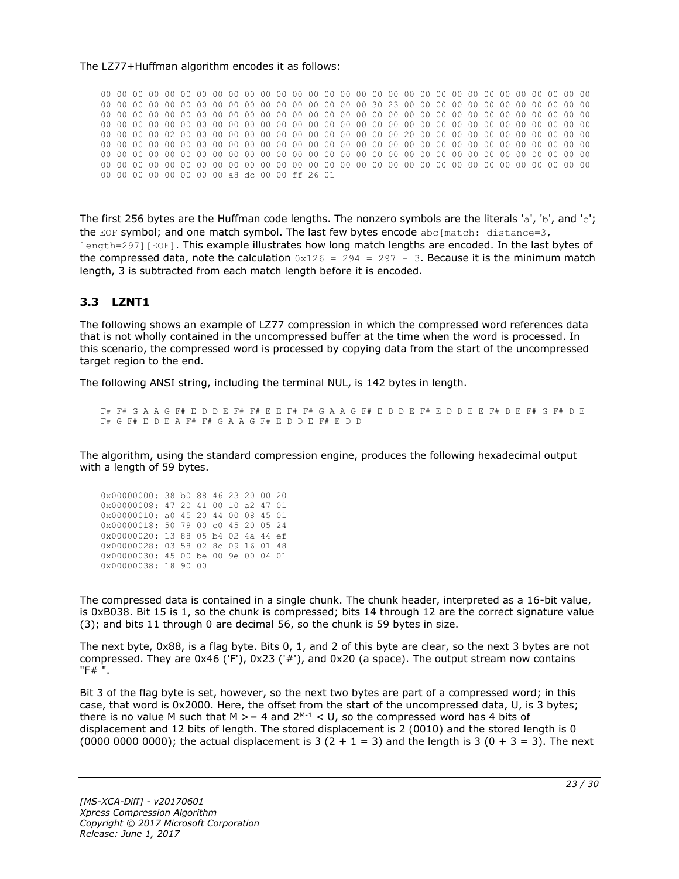#### The LZ77+Huffman algorithm encodes it as follows:

00 00 00 00 00 00 00 00 00 00 00 00 00 00 00 00 00 00 00 00 00 00 00 00 00 00 00 00 00 00 00 00 00 00 00 00 00 00 00 00 00 00 00 00 00 00 00 00 30 23 00 00 00 00 00 00 00 00 00 00 00 00 00 00 00 00 00 00 00 00 00 00 00 00 00 00 00 00 00 00 00 00 00 00 00 00 00 00 00 00 00 00 00 00 00 00 00 00 00 00 00 00 00 00 00 00 00 00 00 00 00 00 00 00 00 00 00 00 00 00 00 00 00 00 00 00 00 00 02 00 00 00 00 00 00 00 00 00 00 00 00 00 00 20 00 00 00 00 00 00 00 00 00 00 00 00 00 00 00 00 00 00 00 00 00 00 00 00 00 00 00 00 00 00 00 00 00 00 00 00 00 00 00 00 00 00 00 00 00 00 00 00 00 00 00 00 00 00 00 00 00 00 00 00 00 00 00 00 00 00 00 00 00 00 00 00 00 00 00 00 00 00 00 00 00 00 00 00 00 00 00 00 00 00 00 00 00 00 00 00 00 00 00 00 00 00 00 00 00 00 00 00 00 00 00 00 a8 dc 00 00 ff 26 01

The first 256 bytes are the Huffman code lengths. The nonzero symbols are the literals 'a', 'b', and 'c'; the EOF symbol; and one match symbol. The last few bytes encode  $abc[match: distance=3,$ length=297][EOF]. This example illustrates how long match lengths are encoded. In the last bytes of the compressed data, note the calculation  $0x126 = 294 = 297 - 3$ . Because it is the minimum match length, 3 is subtracted from each match length before it is encoded.

# <span id="page-22-0"></span>**3.3 LZNT1**

The following shows an example of LZ77 compression in which the compressed word references data that is not wholly contained in the uncompressed buffer at the time when the word is processed. In this scenario, the compressed word is processed by copying data from the start of the uncompressed target region to the end.

The following ANSI string, including the terminal NUL, is 142 bytes in length.

F# F# G A A G F# E D D E F# F# E E F# F# G A A G F# E D D E F# E D D E E F# D E F# G F# D E F# G F# E D E A F# F# G A A G F# E D D E F# E D D

The algorithm, using the standard compression engine, produces the following hexadecimal output with a length of 59 bytes.

| 0x00000000: 38 b0 88 46 23 20 00 20 |  |  |  |  |
|-------------------------------------|--|--|--|--|
| 0x00000008: 47 20 41 00 10 a2 47 01 |  |  |  |  |
| 0x00000010: a0 45 20 44 00 08 45 01 |  |  |  |  |
| 0x00000018: 50 79 00 c0 45 20 05 24 |  |  |  |  |
|                                     |  |  |  |  |
| 0x00000020: 13 88 05 b4 02 4a 44 ef |  |  |  |  |
| 0x00000028: 03 58 02 8c 09 16 01 48 |  |  |  |  |
| 0x00000030: 45 00 be 00 9e 00 04 01 |  |  |  |  |

The compressed data is contained in a single chunk. The chunk header, interpreted as a 16-bit value, is 0xB038. Bit 15 is 1, so the chunk is compressed; bits 14 through 12 are the correct signature value (3); and bits 11 through 0 are decimal 56, so the chunk is 59 bytes in size.

The next byte, 0x88, is a flag byte. Bits 0, 1, and 2 of this byte are clear, so the next 3 bytes are not compressed. They are 0x46 ('F'), 0x23 ('#'), and 0x20 (a space). The output stream now contains "F# ".

Bit 3 of the flag byte is set, however, so the next two bytes are part of a compressed word; in this case, that word is 0x2000. Here, the offset from the start of the uncompressed data, U, is 3 bytes; there is no value M such that M  $>= 4$  and  $2^{M-1} < U$ , so the compressed word has 4 bits of displacement and 12 bits of length. The stored displacement is 2 (0010) and the stored length is 0 (0000 0000 0000); the actual displacement is 3 (2 + 1 = 3) and the length is 3 (0 + 3 = 3). The next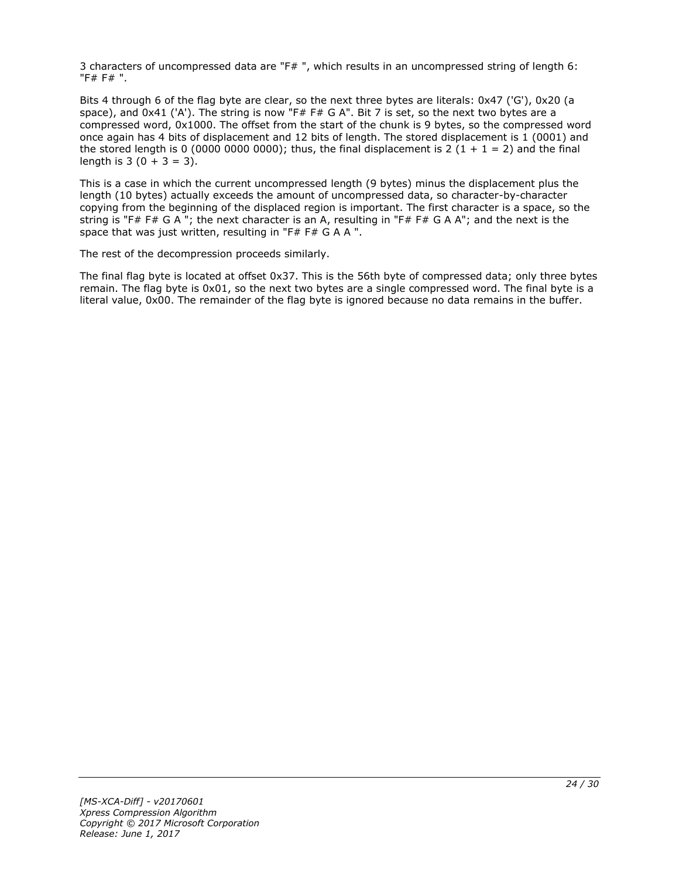3 characters of uncompressed data are "F# ", which results in an uncompressed string of length 6: "F# F# ".

Bits 4 through 6 of the flag byte are clear, so the next three bytes are literals: 0x47 ('G'), 0x20 (a space), and 0x41 ('A'). The string is now "F# F# G A". Bit 7 is set, so the next two bytes are a compressed word, 0x1000. The offset from the start of the chunk is 9 bytes, so the compressed word once again has 4 bits of displacement and 12 bits of length. The stored displacement is 1 (0001) and the stored length is 0 (0000 0000 0000); thus, the final displacement is 2 (1 + 1 = 2) and the final length is  $3(0 + 3 = 3)$ .

This is a case in which the current uncompressed length (9 bytes) minus the displacement plus the length (10 bytes) actually exceeds the amount of uncompressed data, so character-by-character copying from the beginning of the displaced region is important. The first character is a space, so the string is "F# F# G A "; the next character is an A, resulting in "F# F# G A A"; and the next is the space that was just written, resulting in "F# F# G A A ".

The rest of the decompression proceeds similarly.

The final flag byte is located at offset 0x37. This is the 56th byte of compressed data; only three bytes remain. The flag byte is 0x01, so the next two bytes are a single compressed word. The final byte is a literal value, 0x00. The remainder of the flag byte is ignored because no data remains in the buffer.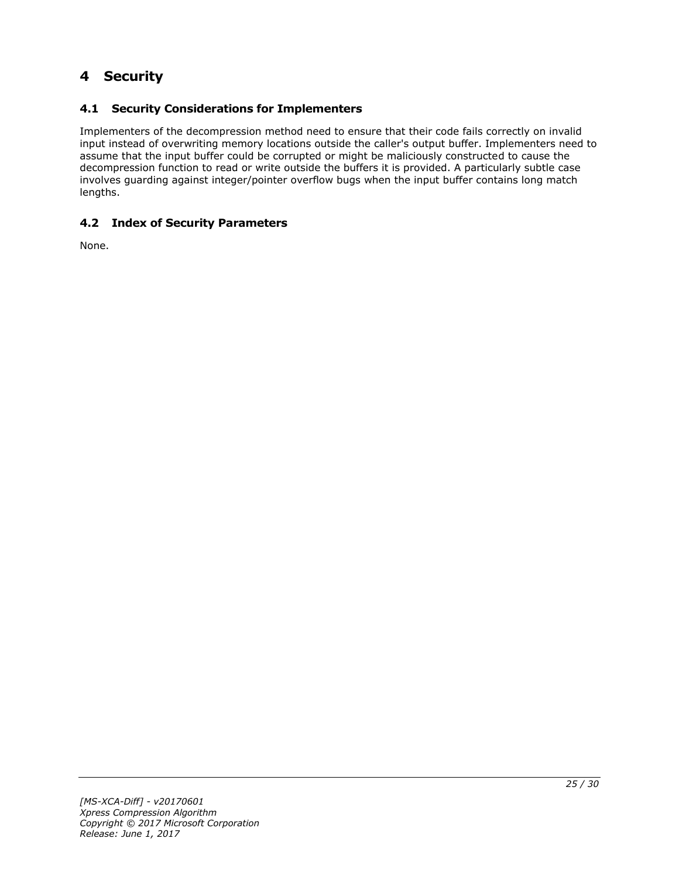# <span id="page-24-0"></span>**4 Security**

# <span id="page-24-1"></span>**4.1 Security Considerations for Implementers**

Implementers of the decompression method need to ensure that their code fails correctly on invalid input instead of overwriting memory locations outside the caller's output buffer. Implementers need to assume that the input buffer could be corrupted or might be maliciously constructed to cause the decompression function to read or write outside the buffers it is provided. A particularly subtle case involves guarding against integer/pointer overflow bugs when the input buffer contains long match lengths.

# <span id="page-24-2"></span>**4.2 Index of Security Parameters**

None.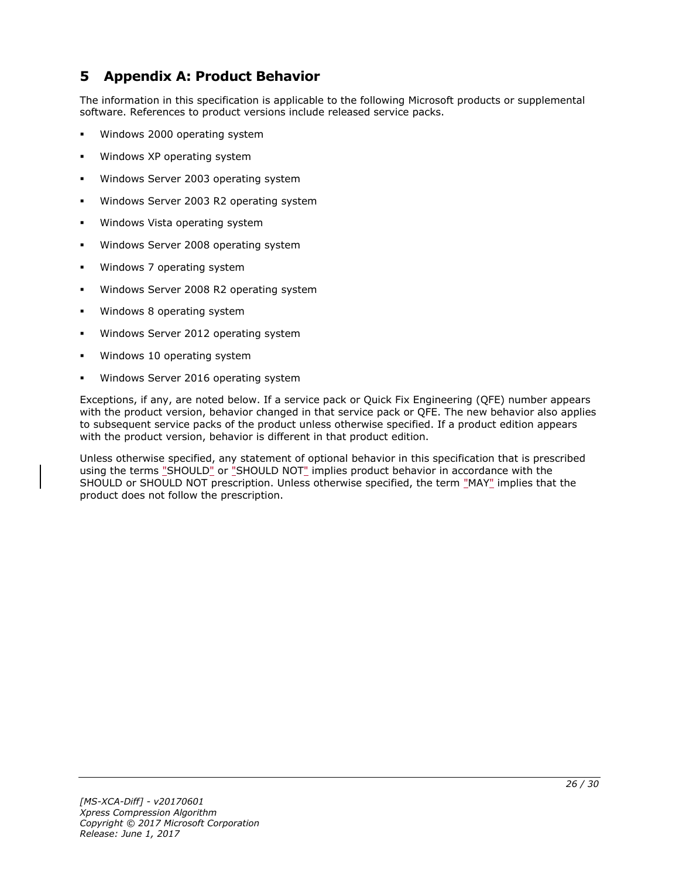# <span id="page-25-0"></span>**5 Appendix A: Product Behavior**

The information in this specification is applicable to the following Microsoft products or supplemental software. References to product versions include released service packs.

- Windows 2000 operating system
- Windows XP operating system
- Windows Server 2003 operating system
- Windows Server 2003 R2 operating system
- Windows Vista operating system
- Windows Server 2008 operating system
- Windows 7 operating system
- Windows Server 2008 R2 operating system
- Windows 8 operating system
- Windows Server 2012 operating system
- Windows 10 operating system
- Windows Server 2016 operating system

Exceptions, if any, are noted below. If a service pack or Quick Fix Engineering (QFE) number appears with the product version, behavior changed in that service pack or QFE. The new behavior also applies to subsequent service packs of the product unless otherwise specified. If a product edition appears with the product version, behavior is different in that product edition.

Unless otherwise specified, any statement of optional behavior in this specification that is prescribed using the terms "SHOULD" or "SHOULD NOT" implies product behavior in accordance with the SHOULD or SHOULD NOT prescription. Unless otherwise specified, the term "MAY" implies that the product does not follow the prescription.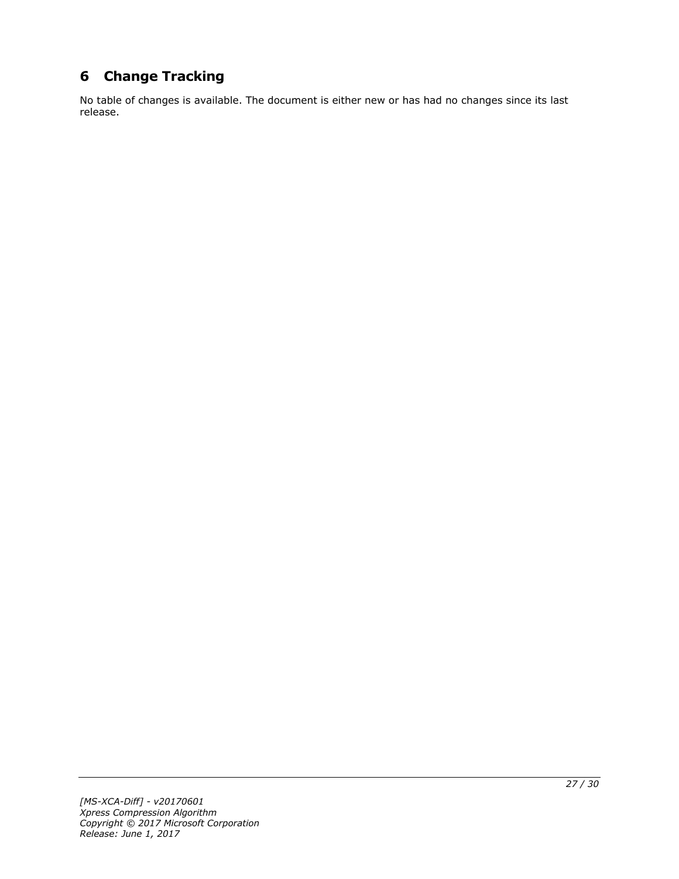# <span id="page-26-0"></span>**6 Change Tracking**

No table of changes is available. The document is either new or has had no changes since its last release.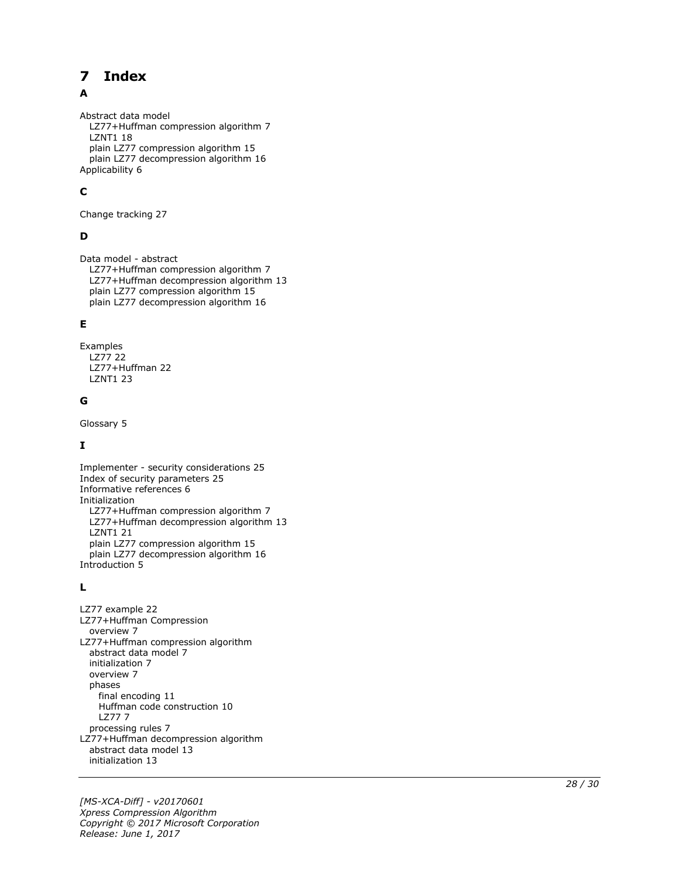#### <span id="page-27-0"></span> $\overline{\mathbf{z}}$ **Index**

# A

Abstract data model LZ77+Huffman compression algorithm 7 LZNT1 18 plain LZ77 compression algorithm 15 plain LZ77 decompression algorithm 16 Applicability 6

# **C**

Change tracking 27

# **D**

Data model - abstract LZ77+Huffman compression algorithm 7 LZ77+Huffman decompression algorithm 13 plain LZ77 compression algorithm 15 plain LZ77 decompression algorithm 16

# **E**

Examples LZ77 22 LZ77+Huffman 22 LZNT1 23

### **G**

Glossary 5

# **I**

Implementer - security considerations 25 Index of security parameters 25 Informative references 6 Initialization LZ77+Huffman compression algorithm 7 LZ77+Huffman decompression algorithm 13 LZNT1 21 plain LZ77 compression algorithm 15 plain LZ77 decompression algorithm 16 Introduction 5

# **L**

**7 Index**<br>
Abstract data model<br>
LZ77+Huffman com<br>
LZ77+Huffman com<br>
plain LZ77 decompres<br>
plain LZ77 decompres<br>
plain LZ77 decompres<br> **C**<br> **C**<br>
Change tracking 27<br> **D**<br>
Data model - abstract<br>
LZ77+Huffman decompres<br>
plai LZ77 example 22 LZ77+Huffman Compression overview 7 LZ77+Huffman compression algorithm abstract data model 7 initialization 7 overview 7 phases final encoding 11 Huffman code construction 10 LZ77 7 processing rules 7 LZ77+Huffman decompression algorithm abstract data model 13 initialization 13

*[MS -XCA -Diff] - v20170601 Xpress Compression Algorithm Copyright © 2017 Microsoft Corporation* Release: June 1, 2017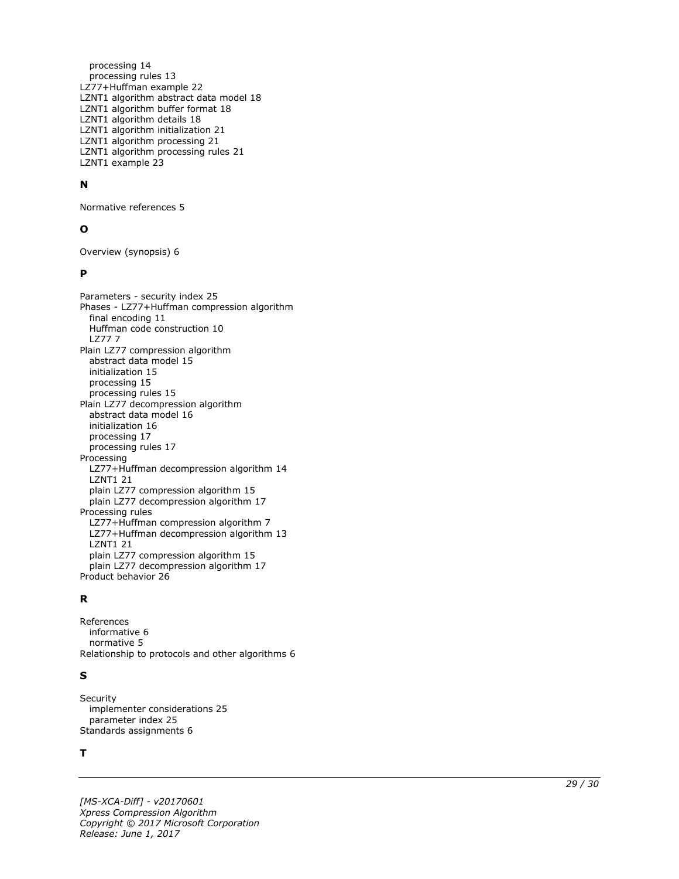processing 14 processing rules 13 LZ77+Huffman example 22 LZNT1 algorithm abstract data model 18 LZNT1 algorithm buffer format 18 LZNT1 algorithm details 18 LZNT1 algorithm initialization 21 LZNT1 algorithm processing 21 LZNT1 algorithm processing rules 21 LZNT1 example 23

#### **N**

Normative references 5

#### **O**

Overview (synopsis) 6

#### **P**

Parameters - security index 25 Phases - LZ77+Huffman compression algorithm final encoding 11 Huffman code construction 10 LZ77 7 Plain LZ77 compression algorithm abstract data model 15 initialization 15 processing 15 processing rules 15 Plain LZ77 decompression algorithm abstract data model 16 initialization 16 processing 17 processing rules 17 Processing LZ77+Huffman decompression algorithm 14 LZNT1 21 plain LZ77 compression algorithm 15 plain LZ77 decompression algorithm 17 Processing rules LZ77+Huffman compression algorithm 7 LZ77+Huffman decompression algorithm 13 LZNT1 21 plain LZ77 compression algorithm 15 plain LZ77 decompression algorithm 17 Product behavior 26

#### **R**

References informative 6 normative 5 Relationship to protocols and other algorithms 6

#### **S**

**Security**  implementer considerations 25 parameter index 25 Standards assignments 6

#### **T**

*[MS -XCA -Diff] - v20170601 Xpress Compression Algorithm Copyright © 2017 Microsoft Corporation Release: June 1, 2017*